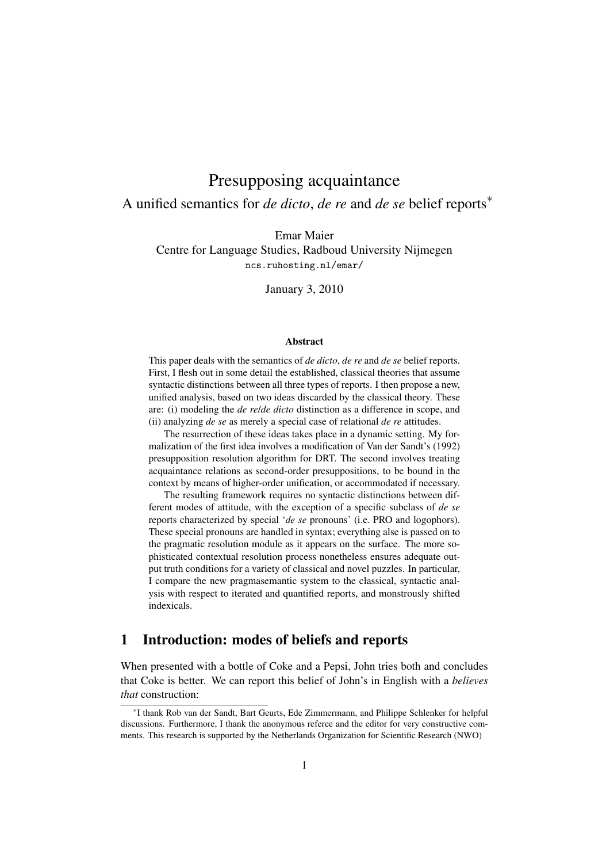# Presupposing acquaintance

A unified semantics for *de dicto*, *de re* and *de se* belief reports<sup>∗</sup>

Emar Maier Centre for Language Studies, Radboud University Nijmegen ncs.ruhosting.nl/emar/

January 3, 2010

#### Abstract

This paper deals with the semantics of *de dicto*, *de re* and *de se* belief reports. First, I flesh out in some detail the established, classical theories that assume syntactic distinctions between all three types of reports. I then propose a new, unified analysis, based on two ideas discarded by the classical theory. These are: (i) modeling the *de re*/*de dicto* distinction as a difference in scope, and (ii) analyzing *de se* as merely a special case of relational *de re* attitudes.

The resurrection of these ideas takes place in a dynamic setting. My formalization of the first idea involves a modification of Van der Sandt's (1992) presupposition resolution algorithm for DRT. The second involves treating acquaintance relations as second-order presuppositions, to be bound in the context by means of higher-order unification, or accommodated if necessary.

The resulting framework requires no syntactic distinctions between different modes of attitude, with the exception of a specific subclass of *de se* reports characterized by special '*de se* pronouns' (i.e. PRO and logophors). These special pronouns are handled in syntax; everything alse is passed on to the pragmatic resolution module as it appears on the surface. The more sophisticated contextual resolution process nonetheless ensures adequate output truth conditions for a variety of classical and novel puzzles. In particular, I compare the new pragmasemantic system to the classical, syntactic analysis with respect to iterated and quantified reports, and monstrously shifted indexicals.

# 1 Introduction: modes of beliefs and reports

When presented with a bottle of Coke and a Pepsi, John tries both and concludes that Coke is better. We can report this belief of John's in English with a *believes that* construction:

<sup>∗</sup> I thank Rob van der Sandt, Bart Geurts, Ede Zimmermann, and Philippe Schlenker for helpful discussions. Furthermore, I thank the anonymous referee and the editor for very constructive comments. This research is supported by the Netherlands Organization for Scientific Research (NWO)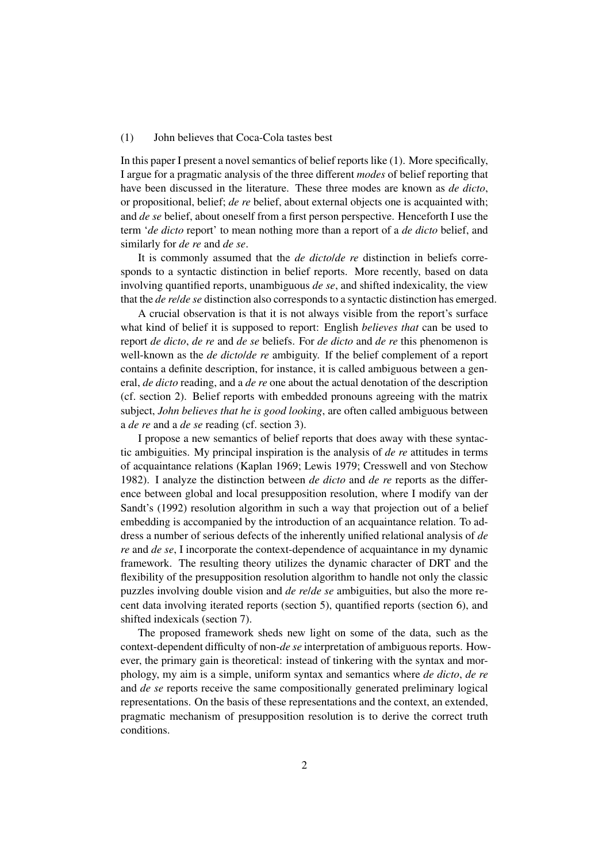#### (1) John believes that Coca-Cola tastes best

In this paper I present a novel semantics of belief reports like (1). More specifically, I argue for a pragmatic analysis of the three different *modes* of belief reporting that have been discussed in the literature. These three modes are known as *de dicto*, or propositional, belief; *de re* belief, about external objects one is acquainted with; and *de se* belief, about oneself from a first person perspective. Henceforth I use the term '*de dicto* report' to mean nothing more than a report of a *de dicto* belief, and similarly for *de re* and *de se*.

It is commonly assumed that the *de dicto*/*de re* distinction in beliefs corresponds to a syntactic distinction in belief reports. More recently, based on data involving quantified reports, unambiguous *de se*, and shifted indexicality, the view that the *de re*/*de se* distinction also corresponds to a syntactic distinction has emerged.

A crucial observation is that it is not always visible from the report's surface what kind of belief it is supposed to report: English *believes that* can be used to report *de dicto*, *de re* and *de se* beliefs. For *de dicto* and *de re* this phenomenon is well-known as the *de dicto*/*de re* ambiguity. If the belief complement of a report contains a definite description, for instance, it is called ambiguous between a general, *de dicto* reading, and a *de re* one about the actual denotation of the description (cf. section 2). Belief reports with embedded pronouns agreeing with the matrix subject, *John believes that he is good looking*, are often called ambiguous between a *de re* and a *de se* reading (cf. section 3).

I propose a new semantics of belief reports that does away with these syntactic ambiguities. My principal inspiration is the analysis of *de re* attitudes in terms of acquaintance relations (Kaplan 1969; Lewis 1979; Cresswell and von Stechow 1982). I analyze the distinction between *de dicto* and *de re* reports as the difference between global and local presupposition resolution, where I modify van der Sandt's (1992) resolution algorithm in such a way that projection out of a belief embedding is accompanied by the introduction of an acquaintance relation. To address a number of serious defects of the inherently unified relational analysis of *de re* and *de se*, I incorporate the context-dependence of acquaintance in my dynamic framework. The resulting theory utilizes the dynamic character of DRT and the flexibility of the presupposition resolution algorithm to handle not only the classic puzzles involving double vision and *de re*/*de se* ambiguities, but also the more recent data involving iterated reports (section 5), quantified reports (section 6), and shifted indexicals (section 7).

The proposed framework sheds new light on some of the data, such as the context-dependent difficulty of non-*de se* interpretation of ambiguous reports. However, the primary gain is theoretical: instead of tinkering with the syntax and morphology, my aim is a simple, uniform syntax and semantics where *de dicto*, *de re* and *de se* reports receive the same compositionally generated preliminary logical representations. On the basis of these representations and the context, an extended, pragmatic mechanism of presupposition resolution is to derive the correct truth conditions.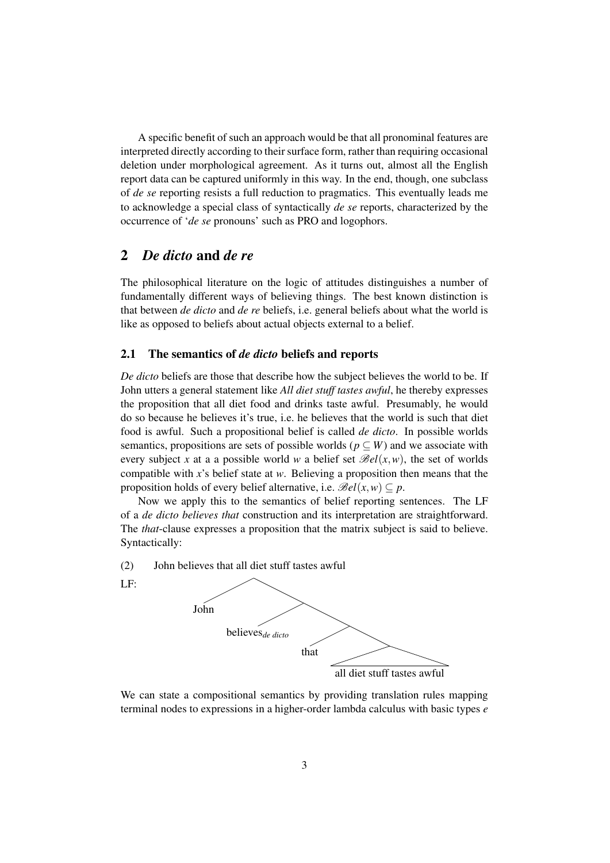A specific benefit of such an approach would be that all pronominal features are interpreted directly according to their surface form, rather than requiring occasional deletion under morphological agreement. As it turns out, almost all the English report data can be captured uniformly in this way. In the end, though, one subclass of *de se* reporting resists a full reduction to pragmatics. This eventually leads me to acknowledge a special class of syntactically *de se* reports, characterized by the occurrence of '*de se* pronouns' such as PRO and logophors.

## 2 *De dicto* and *de re*

The philosophical literature on the logic of attitudes distinguishes a number of fundamentally different ways of believing things. The best known distinction is that between *de dicto* and *de re* beliefs, i.e. general beliefs about what the world is like as opposed to beliefs about actual objects external to a belief.

### 2.1 The semantics of *de dicto* beliefs and reports

*De dicto* beliefs are those that describe how the subject believes the world to be. If John utters a general statement like *All diet stuff tastes awful*, he thereby expresses the proposition that all diet food and drinks taste awful. Presumably, he would do so because he believes it's true, i.e. he believes that the world is such that diet food is awful. Such a propositional belief is called *de dicto*. In possible worlds semantics, propositions are sets of possible worlds ( $p \subset W$ ) and we associate with every subject x at a a possible world w a belief set  $\mathcal{B}el(x, w)$ , the set of worlds compatible with *x*'s belief state at *w*. Believing a proposition then means that the proposition holds of every belief alternative, i.e.  $\mathcal{B}el(x, w) \subseteq p$ .

Now we apply this to the semantics of belief reporting sentences. The LF of a *de dicto believes that* construction and its interpretation are straightforward. The *that*-clause expresses a proposition that the matrix subject is said to believe. Syntactically:

(2) John believes that all diet stuff tastes awful

LF:



We can state a compositional semantics by providing translation rules mapping terminal nodes to expressions in a higher-order lambda calculus with basic types *e*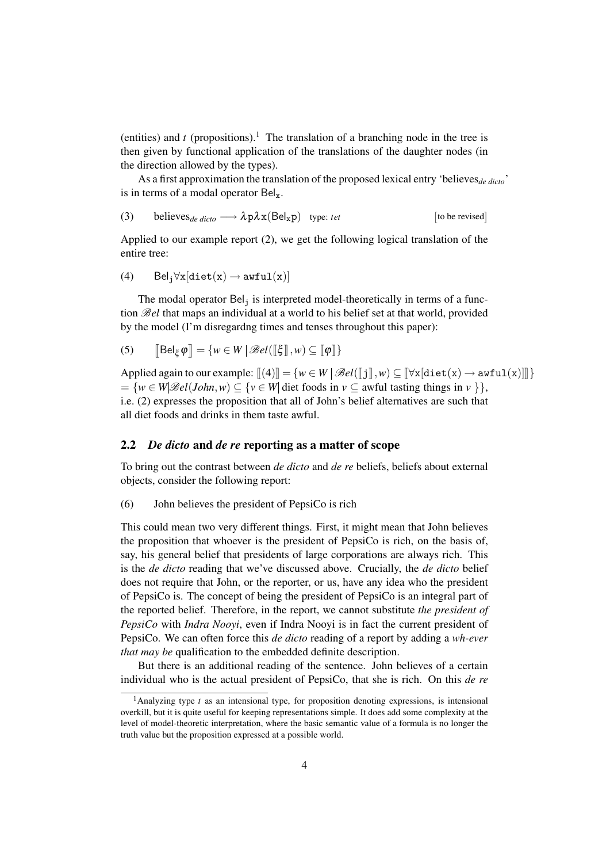(entities) and *t* (propositions).<sup>1</sup> The translation of a branching node in the tree is then given by functional application of the translations of the daughter nodes (in the direction allowed by the types).

As a first approximation the translation of the proposed lexical entry 'believes*de dicto*' is in terms of a modal operator  $Bel_x$ .

(3) believes<sub>de dicto</sub> 
$$
\longrightarrow
$$
  $\lambda p \lambda x (Bel_x p)$  type: *tet* [to be revised]

Applied to our example report (2), we get the following logical translation of the entire tree:

$$
(4) \qquad \text{Bel}_{j}\forall x[\text{dict}(x)\rightarrow \text{awful}(x)]
$$

The modal operator  $\text{Bel}_1$  is interpreted model-theoretically in terms of a function B*el* that maps an individual at a world to his belief set at that world, provided by the model (I'm disregardng times and tenses throughout this paper):

(5) 
$$
\llbracket \text{Bel}_{\xi} \varphi \rrbracket = \{ w \in W \, | \, \mathscr{B}el(\llbracket \xi \rrbracket, w) \subseteq \llbracket \varphi \rrbracket \}
$$

Applied again to our example:  $\llbracket (4) \rrbracket = \{ w \in W \mid \mathcal{B}el(\llbracket j \rrbracket, w) \subseteq \llbracket \forall x[\text{dict}(x) \rightarrow \text{avful}(x)] \rrbracket \}$  $= \{w \in W | \mathcal{B}el(John, w) \subseteq \{v \in W | \text{ diet foods in } v \subseteq \text{awful testing things in } v \} \},$ i.e. (2) expresses the proposition that all of John's belief alternatives are such that all diet foods and drinks in them taste awful.

### 2.2 *De dicto* and *de re* reporting as a matter of scope

To bring out the contrast between *de dicto* and *de re* beliefs, beliefs about external objects, consider the following report:

(6) John believes the president of PepsiCo is rich

This could mean two very different things. First, it might mean that John believes the proposition that whoever is the president of PepsiCo is rich, on the basis of, say, his general belief that presidents of large corporations are always rich. This is the *de dicto* reading that we've discussed above. Crucially, the *de dicto* belief does not require that John, or the reporter, or us, have any idea who the president of PepsiCo is. The concept of being the president of PepsiCo is an integral part of the reported belief. Therefore, in the report, we cannot substitute *the president of PepsiCo* with *Indra Nooyi*, even if Indra Nooyi is in fact the current president of PepsiCo. We can often force this *de dicto* reading of a report by adding a *wh-ever that may be* qualification to the embedded definite description.

But there is an additional reading of the sentence. John believes of a certain individual who is the actual president of PepsiCo, that she is rich. On this *de re*

<sup>&</sup>lt;sup>1</sup>Analyzing type  $t$  as an intensional type, for proposition denoting expressions, is intensional overkill, but it is quite useful for keeping representations simple. It does add some complexity at the level of model-theoretic interpretation, where the basic semantic value of a formula is no longer the truth value but the proposition expressed at a possible world.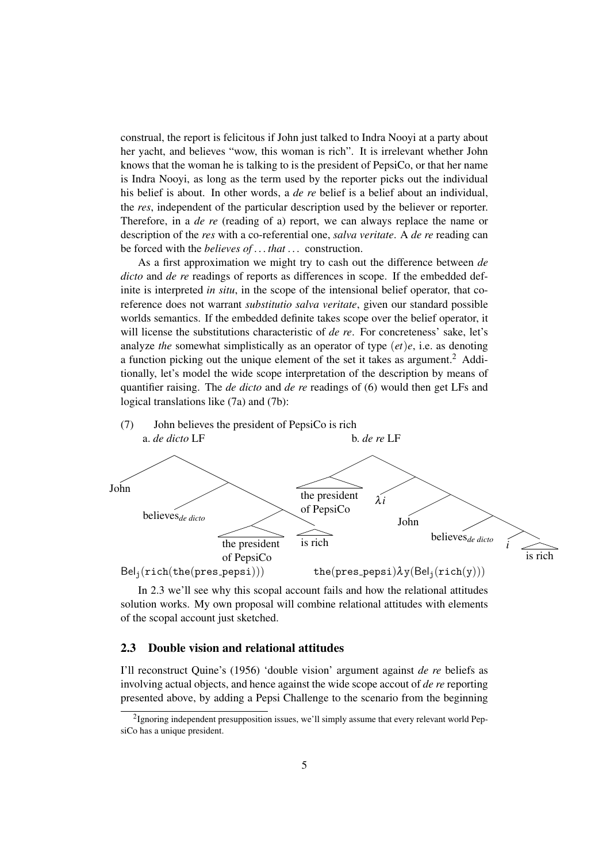construal, the report is felicitous if John just talked to Indra Nooyi at a party about her yacht, and believes "wow, this woman is rich". It is irrelevant whether John knows that the woman he is talking to is the president of PepsiCo, or that her name is Indra Nooyi, as long as the term used by the reporter picks out the individual his belief is about. In other words, a *de re* belief is a belief about an individual, the *res*, independent of the particular description used by the believer or reporter. Therefore, in a *de re* (reading of a) report, we can always replace the name or description of the *res* with a co-referential one, *salva veritate*. A *de re* reading can be forced with the *believes of . . . that . . .* construction.

As a first approximation we might try to cash out the difference between *de dicto* and *de re* readings of reports as differences in scope. If the embedded definite is interpreted *in situ*, in the scope of the intensional belief operator, that coreference does not warrant *substitutio salva veritate*, given our standard possible worlds semantics. If the embedded definite takes scope over the belief operator, it will license the substitutions characteristic of *de re*. For concreteness' sake, let's analyze *the* somewhat simplistically as an operator of type (*et*)*e*, i.e. as denoting a function picking out the unique element of the set it takes as argument.<sup>2</sup> Additionally, let's model the wide scope interpretation of the description by means of quantifier raising. The *de dicto* and *de re* readings of (6) would then get LFs and logical translations like (7a) and (7b):



In 2.3 we'll see why this scopal account fails and how the relational attitudes solution works. My own proposal will combine relational attitudes with elements of the scopal account just sketched.

#### 2.3 Double vision and relational attitudes

I'll reconstruct Quine's (1956) 'double vision' argument against *de re* beliefs as involving actual objects, and hence against the wide scope accout of *de re* reporting presented above, by adding a Pepsi Challenge to the scenario from the beginning

<sup>&</sup>lt;sup>2</sup>Ignoring independent presupposition issues, we'll simply assume that every relevant world PepsiCo has a unique president.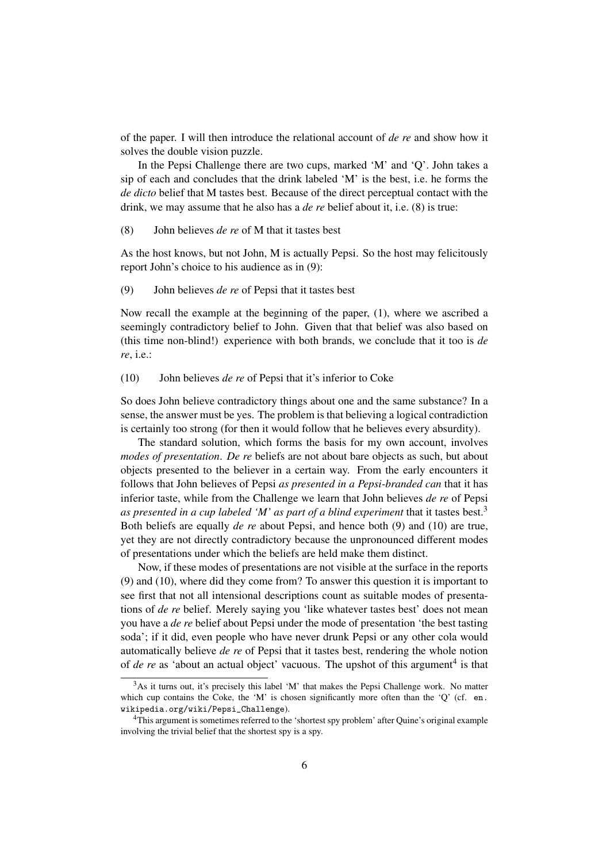of the paper. I will then introduce the relational account of *de re* and show how it solves the double vision puzzle.

In the Pepsi Challenge there are two cups, marked 'M' and 'Q'. John takes a sip of each and concludes that the drink labeled 'M' is the best, i.e. he forms the *de dicto* belief that M tastes best. Because of the direct perceptual contact with the drink, we may assume that he also has a *de re* belief about it, i.e. (8) is true:

(8) John believes *de re* of M that it tastes best

As the host knows, but not John, M is actually Pepsi. So the host may felicitously report John's choice to his audience as in (9):

(9) John believes *de re* of Pepsi that it tastes best

Now recall the example at the beginning of the paper, (1), where we ascribed a seemingly contradictory belief to John. Given that that belief was also based on (this time non-blind!) experience with both brands, we conclude that it too is *de re*, i.e.:

(10) John believes *de re* of Pepsi that it's inferior to Coke

So does John believe contradictory things about one and the same substance? In a sense, the answer must be yes. The problem is that believing a logical contradiction is certainly too strong (for then it would follow that he believes every absurdity).

The standard solution, which forms the basis for my own account, involves *modes of presentation*. *De re* beliefs are not about bare objects as such, but about objects presented to the believer in a certain way. From the early encounters it follows that John believes of Pepsi *as presented in a Pepsi-branded can* that it has inferior taste, while from the Challenge we learn that John believes *de re* of Pepsi *as presented in a cup labeled 'M' as part of a blind experiment* that it tastes best.<sup>3</sup> Both beliefs are equally *de re* about Pepsi, and hence both (9) and (10) are true, yet they are not directly contradictory because the unpronounced different modes of presentations under which the beliefs are held make them distinct.

Now, if these modes of presentations are not visible at the surface in the reports (9) and (10), where did they come from? To answer this question it is important to see first that not all intensional descriptions count as suitable modes of presentations of *de re* belief. Merely saying you 'like whatever tastes best' does not mean you have a *de re* belief about Pepsi under the mode of presentation 'the best tasting soda'; if it did, even people who have never drunk Pepsi or any other cola would automatically believe *de re* of Pepsi that it tastes best, rendering the whole notion of *de re* as 'about an actual object' vacuous. The upshot of this argument<sup>4</sup> is that

<sup>&</sup>lt;sup>3</sup>As it turns out, it's precisely this label 'M' that makes the Pepsi Challenge work. No matter which cup contains the Coke, the 'M' is chosen significantly more often than the 'Q' (cf. en. wikipedia.org/wiki/Pepsi\_Challenge).

<sup>4</sup>This argument is sometimes referred to the 'shortest spy problem' after Quine's original example involving the trivial belief that the shortest spy is a spy.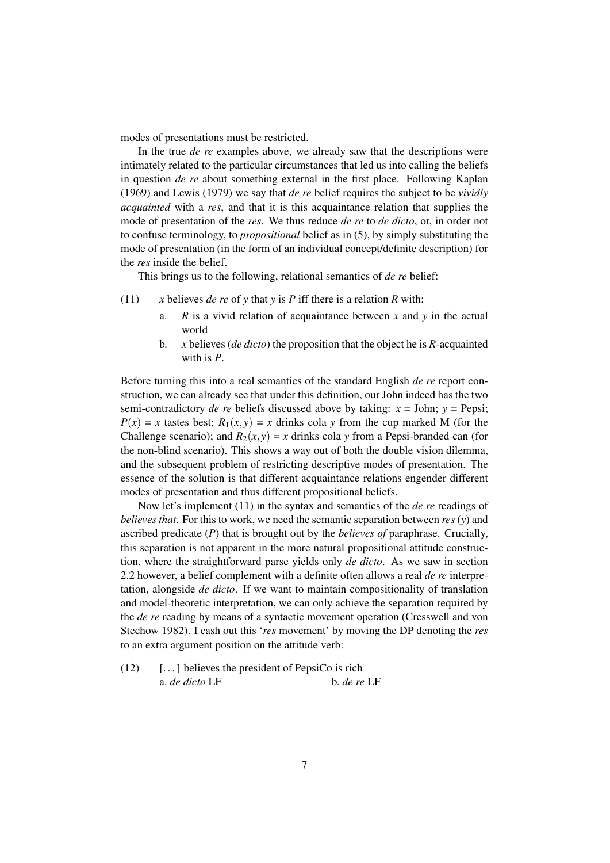modes of presentations must be restricted.

In the true *de re* examples above, we already saw that the descriptions were intimately related to the particular circumstances that led us into calling the beliefs in question *de re* about something external in the first place. Following Kaplan (1969) and Lewis (1979) we say that *de re* belief requires the subject to be *vividly acquainted* with a *res*, and that it is this acquaintance relation that supplies the mode of presentation of the *res*. We thus reduce *de re* to *de dicto*, or, in order not to confuse terminology, to *propositional* belief as in (5), by simply substituting the mode of presentation (in the form of an individual concept/definite description) for the *res* inside the belief.

This brings us to the following, relational semantics of *de re* belief:

- (11)  $x$  believes *de re* of *y* that *y* is *P* iff there is a relation *R* with:
	- a. *R* is a vivid relation of acquaintance between *x* and *y* in the actual world
	- b. *x* believes (*de dicto*) the proposition that the object he is *R*-acquainted with is *P*.

Before turning this into a real semantics of the standard English *de re* report construction, we can already see that under this definition, our John indeed has the two semi-contradictory *de re* beliefs discussed above by taking:  $x =$  John;  $y =$  Pepsi;  $P(x) = x$  tastes best;  $R_1(x, y) = x$  drinks cola *y* from the cup marked M (for the Challenge scenario); and  $R_2(x, y) = x$  drinks cola *y* from a Pepsi-branded can (for the non-blind scenario). This shows a way out of both the double vision dilemma, and the subsequent problem of restricting descriptive modes of presentation. The essence of the solution is that different acquaintance relations engender different modes of presentation and thus different propositional beliefs.

Now let's implement (11) in the syntax and semantics of the *de re* readings of *believes that*. For this to work, we need the semantic separation between *res* (*y*) and ascribed predicate (*P*) that is brought out by the *believes of* paraphrase. Crucially, this separation is not apparent in the more natural propositional attitude construction, where the straightforward parse yields only *de dicto*. As we saw in section 2.2 however, a belief complement with a definite often allows a real *de re* interpretation, alongside *de dicto*. If we want to maintain compositionality of translation and model-theoretic interpretation, we can only achieve the separation required by the *de re* reading by means of a syntactic movement operation (Cresswell and von Stechow 1982). I cash out this '*res* movement' by moving the DP denoting the *res* to an extra argument position on the attitude verb:

 $(12)$  [...] believes the president of PepsiCo is rich a. *de dicto* LF b. *de re* LF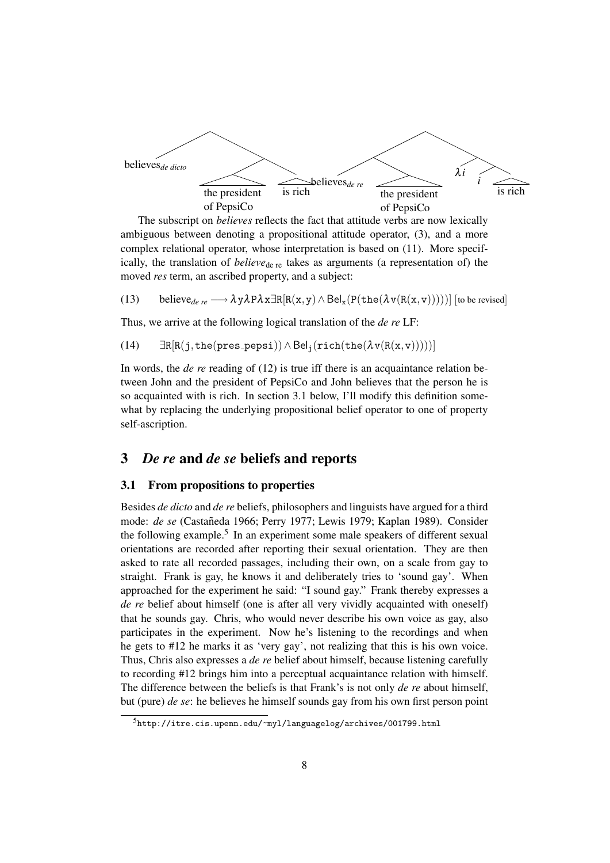

The subscript on *believes* reflects the fact that attitude verbs are now lexically ambiguous between denoting a propositional attitude operator, (3), and a more complex relational operator, whose interpretation is based on (11). More specifically, the translation of *believe*de re takes as arguments (a representation of) the moved *res* term, an ascribed property, and a subject:

(13) believe<sub>de re</sub>  $\longrightarrow \lambda y \lambda P \lambda x \exists R[R(x,y) \wedge Bel_x(P(the(\lambda v(R(x,v)))))]$  [to be revised]

Thus, we arrive at the following logical translation of the *de re* LF:

(14)  $\exists R[R(j, the(pres\_pepsi)) \wedge Bel_j(rich(the(\lambda v(R(x,v)))))]$ 

In words, the *de re* reading of (12) is true iff there is an acquaintance relation between John and the president of PepsiCo and John believes that the person he is so acquainted with is rich. In section 3.1 below, I'll modify this definition somewhat by replacing the underlying propositional belief operator to one of property self-ascription.

## 3 *De re* and *de se* beliefs and reports

#### 3.1 From propositions to properties

Besides *de dicto* and *de re* beliefs, philosophers and linguists have argued for a third mode: *de se* (Castañeda 1966; Perry 1977; Lewis 1979; Kaplan 1989). Consider the following example.<sup>5</sup> In an experiment some male speakers of different sexual orientations are recorded after reporting their sexual orientation. They are then asked to rate all recorded passages, including their own, on a scale from gay to straight. Frank is gay, he knows it and deliberately tries to 'sound gay'. When approached for the experiment he said: "I sound gay." Frank thereby expresses a *de re* belief about himself (one is after all very vividly acquainted with oneself) that he sounds gay. Chris, who would never describe his own voice as gay, also participates in the experiment. Now he's listening to the recordings and when he gets to #12 he marks it as 'very gay', not realizing that this is his own voice. Thus, Chris also expresses a *de re* belief about himself, because listening carefully to recording #12 brings him into a perceptual acquaintance relation with himself. The difference between the beliefs is that Frank's is not only *de re* about himself, but (pure) *de se*: he believes he himself sounds gay from his own first person point

<sup>5</sup>http://itre.cis.upenn.edu/~myl/languagelog/archives/001799.html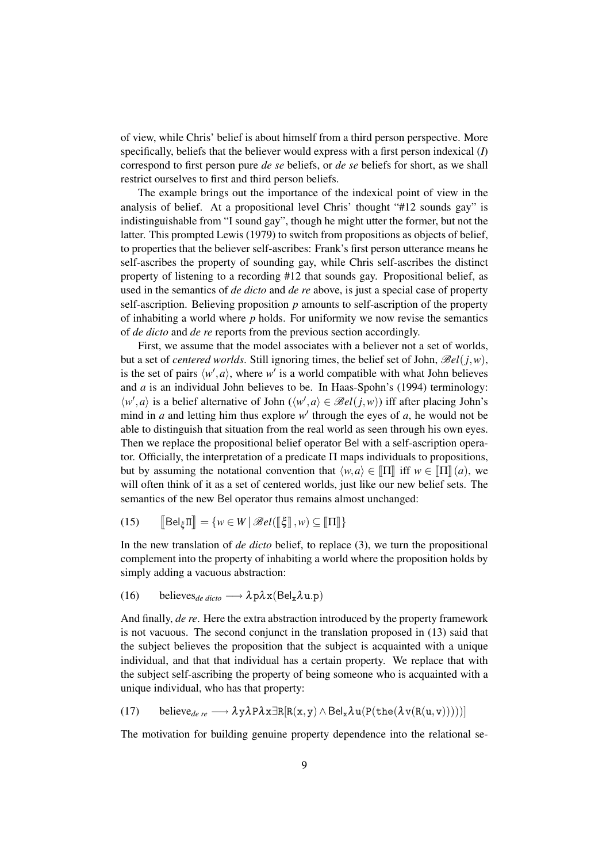of view, while Chris' belief is about himself from a third person perspective. More specifically, beliefs that the believer would express with a first person indexical (*I*) correspond to first person pure *de se* beliefs, or *de se* beliefs for short, as we shall restrict ourselves to first and third person beliefs.

The example brings out the importance of the indexical point of view in the analysis of belief. At a propositional level Chris' thought "#12 sounds gay" is indistinguishable from "I sound gay", though he might utter the former, but not the latter. This prompted Lewis (1979) to switch from propositions as objects of belief, to properties that the believer self-ascribes: Frank's first person utterance means he self-ascribes the property of sounding gay, while Chris self-ascribes the distinct property of listening to a recording #12 that sounds gay. Propositional belief, as used in the semantics of *de dicto* and *de re* above, is just a special case of property self-ascription. Believing proposition *p* amounts to self-ascription of the property of inhabiting a world where *p* holds. For uniformity we now revise the semantics of *de dicto* and *de re* reports from the previous section accordingly.

First, we assume that the model associates with a believer not a set of worlds, but a set of *centered worlds*. Still ignoring times, the belief set of John,  $\mathcal{B}el(j, w)$ , is the set of pairs  $\langle w', a \rangle$ , where  $w'$  is a world compatible with what John believes and *a* is an individual John believes to be. In Haas-Spohn's (1994) terminology:  $\langle w', a \rangle$  is a belief alternative of John ( $\langle w', a \rangle \in \mathcal{B}el(j, w)$ ) iff after placing John's mind in  $a$  and letting him thus explore  $w'$  through the eyes of  $a$ , he would not be able to distinguish that situation from the real world as seen through his own eyes. Then we replace the propositional belief operator Bel with a self-ascription operator. Officially, the interpretation of a predicate Π maps individuals to propositions, but by assuming the notational convention that  $\langle w, a \rangle \in \llbracket \Pi \rrbracket$  iff  $w \in \llbracket \Pi \rrbracket (a)$ , we will often think of it as a set of centered worlds, just like our new belief sets. The semantics of the new Bel operator thus remains almost unchanged:

(15) 
$$
\mathbb{E}[\text{Bel}_{\xi}\Pi] = \{w \in W \mid \mathcal{B}el(\mathbb{E}], w) \subseteq \mathbb{E}[\Pi]\}
$$

In the new translation of *de dicto* belief, to replace (3), we turn the propositional complement into the property of inhabiting a world where the proposition holds by simply adding a vacuous abstraction:

(16)  believes<sub>de dicto</sub> 
$$
\longrightarrow
$$
  $\lambda p \lambda x (Bel_x \lambda u.p)$ 

And finally, *de re*. Here the extra abstraction introduced by the property framework is not vacuous. The second conjunct in the translation proposed in (13) said that the subject believes the proposition that the subject is acquainted with a unique individual, and that that individual has a certain property. We replace that with the subject self-ascribing the property of being someone who is acquainted with a unique individual, who has that property:

(17) 
$$
\text{believe}_{de\text{ re}} \longrightarrow \lambda y \lambda P \lambda x \exists R[R(x, y) \wedge Bel_x \lambda u(P(the(\lambda v(R(u, v)))))]
$$

The motivation for building genuine property dependence into the relational se-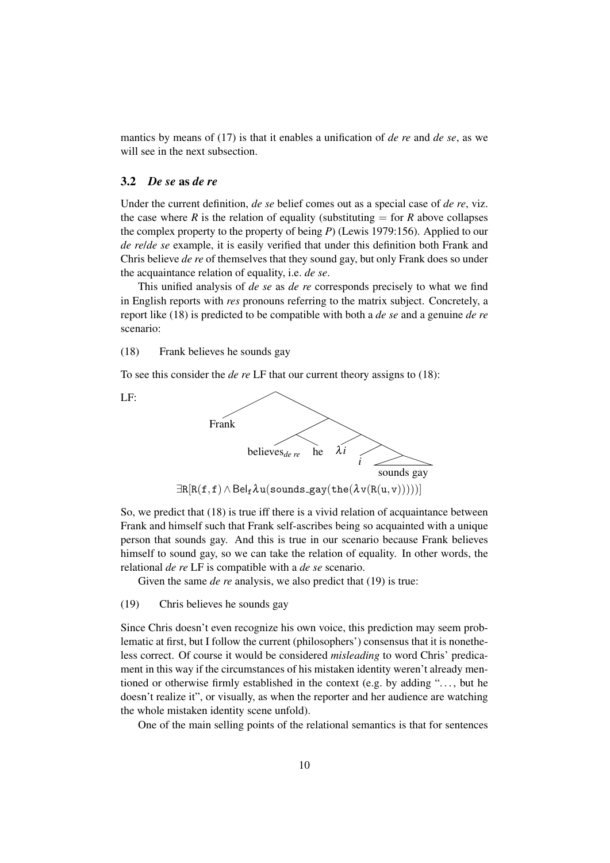mantics by means of (17) is that it enables a unification of *de re* and *de se*, as we will see in the next subsection.

#### 3.2 *De se* as *de re*

Under the current definition, *de se* belief comes out as a special case of *de re*, viz. the case where *R* is the relation of equality (substituting  $=$  for *R* above collapses the complex property to the property of being *P*) (Lewis 1979:156). Applied to our *de re*/*de se* example, it is easily verified that under this definition both Frank and Chris believe *de re* of themselves that they sound gay, but only Frank does so under the acquaintance relation of equality, i.e. *de se*.

This unified analysis of *de se* as *de re* corresponds precisely to what we find in English reports with *res* pronouns referring to the matrix subject. Concretely, a report like (18) is predicted to be compatible with both a *de se* and a genuine *de re* scenario:

(18) Frank believes he sounds gay

To see this consider the *de re* LF that our current theory assigns to (18):



So, we predict that (18) is true iff there is a vivid relation of acquaintance between Frank and himself such that Frank self-ascribes being so acquainted with a unique person that sounds gay. And this is true in our scenario because Frank believes himself to sound gay, so we can take the relation of equality. In other words, the relational *de re* LF is compatible with a *de se* scenario.

Given the same *de re* analysis, we also predict that (19) is true:

#### (19) Chris believes he sounds gay

Since Chris doesn't even recognize his own voice, this prediction may seem problematic at first, but I follow the current (philosophers') consensus that it is nonetheless correct. Of course it would be considered *misleading* to word Chris' predicament in this way if the circumstances of his mistaken identity weren't already mentioned or otherwise firmly established in the context (e.g. by adding ". . . , but he doesn't realize it", or visually, as when the reporter and her audience are watching the whole mistaken identity scene unfold).

One of the main selling points of the relational semantics is that for sentences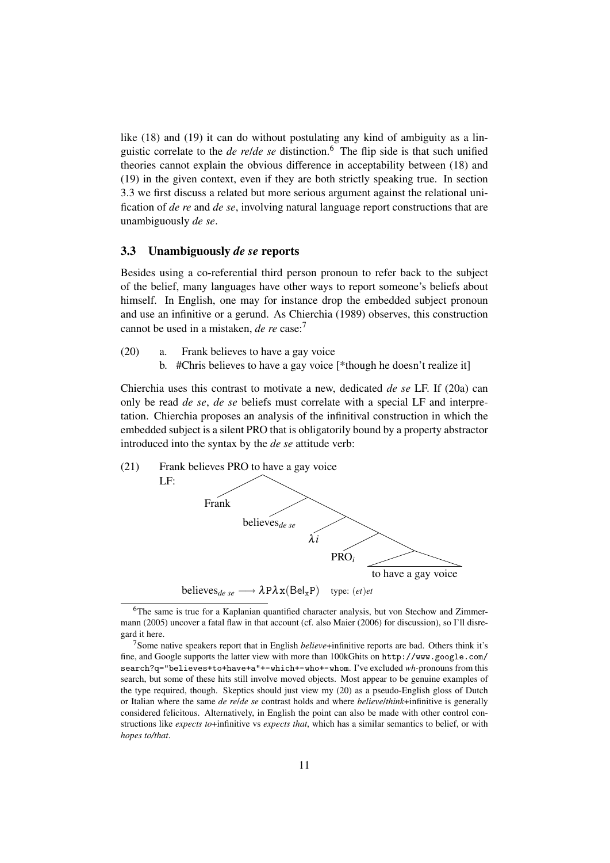like (18) and (19) it can do without postulating any kind of ambiguity as a linguistic correlate to the *de re*/*de se* distinction.<sup>6</sup> The flip side is that such unified theories cannot explain the obvious difference in acceptability between (18) and (19) in the given context, even if they are both strictly speaking true. In section 3.3 we first discuss a related but more serious argument against the relational unification of *de re* and *de se*, involving natural language report constructions that are unambiguously *de se*.

#### 3.3 Unambiguously *de se* reports

Besides using a co-referential third person pronoun to refer back to the subject of the belief, many languages have other ways to report someone's beliefs about himself. In English, one may for instance drop the embedded subject pronoun and use an infinitive or a gerund. As Chierchia (1989) observes, this construction cannot be used in a mistaken, *de re* case:<sup>7</sup>

- (20) a. Frank believes to have a gay voice
	- b. #Chris believes to have a gay voice [\*though he doesn't realize it]

Chierchia uses this contrast to motivate a new, dedicated *de se* LF. If (20a) can only be read *de se*, *de se* beliefs must correlate with a special LF and interpretation. Chierchia proposes an analysis of the infinitival construction in which the embedded subject is a silent PRO that is obligatorily bound by a property abstractor introduced into the syntax by the *de se* attitude verb:



<sup>6</sup>The same is true for a Kaplanian quantified character analysis, but von Stechow and Zimmermann (2005) uncover a fatal flaw in that account (cf. also Maier (2006) for discussion), so I'll disregard it here.

<sup>7</sup>Some native speakers report that in English *believe*+infinitive reports are bad. Others think it's fine, and Google supports the latter view with more than 100kGhits on http://www.google.com/ search?q="believes+to+have+a"+-which+-who+-whom. I've excluded *wh-*pronouns from this search, but some of these hits still involve moved objects. Most appear to be genuine examples of the type required, though. Skeptics should just view my (20) as a pseudo-English gloss of Dutch or Italian where the same *de re*/*de se* contrast holds and where *believe*/*think*+infinitive is generally considered felicitous. Alternatively, in English the point can also be made with other control constructions like *expects to*+infinitive vs *expects that*, which has a similar semantics to belief, or with *hopes to/that*.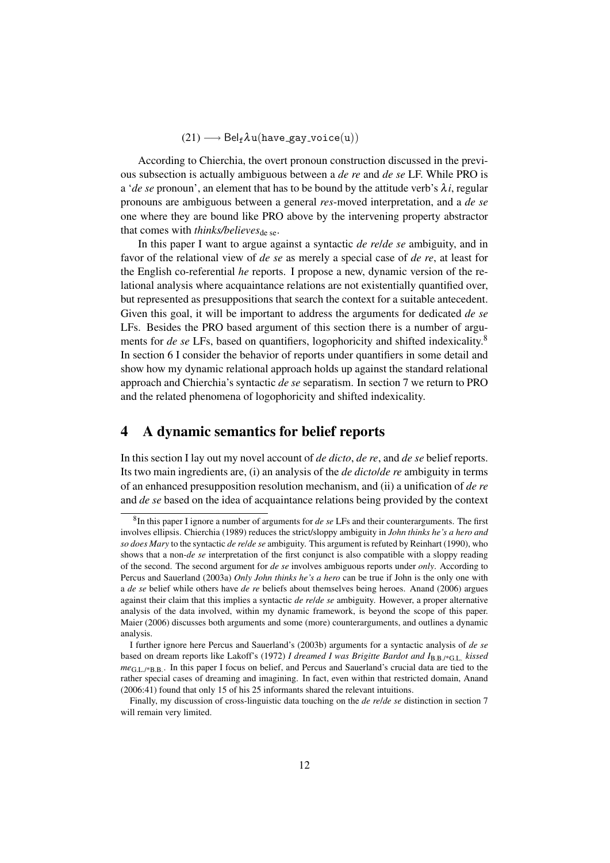$(21) \longrightarrow \text{Bel}_{f} \lambda u(\text{have\_gay\_voice}(u))$ 

According to Chierchia, the overt pronoun construction discussed in the previous subsection is actually ambiguous between a *de re* and *de se* LF. While PRO is a '*de se* pronoun', an element that has to be bound by the attitude verb's  $\lambda i$ , regular pronouns are ambiguous between a general *res*-moved interpretation, and a *de se* one where they are bound like PRO above by the intervening property abstractor that comes with *thinks/believes*<sub>de se</sub>.

In this paper I want to argue against a syntactic *de re*/*de se* ambiguity, and in favor of the relational view of *de se* as merely a special case of *de re*, at least for the English co-referential *he* reports. I propose a new, dynamic version of the relational analysis where acquaintance relations are not existentially quantified over, but represented as presuppositions that search the context for a suitable antecedent. Given this goal, it will be important to address the arguments for dedicated *de se* LFs. Besides the PRO based argument of this section there is a number of arguments for *de se* LFs, based on quantifiers, logophoricity and shifted indexicality.<sup>8</sup> In section 6 I consider the behavior of reports under quantifiers in some detail and show how my dynamic relational approach holds up against the standard relational approach and Chierchia's syntactic *de se* separatism. In section 7 we return to PRO and the related phenomena of logophoricity and shifted indexicality.

## 4 A dynamic semantics for belief reports

In this section I lay out my novel account of *de dicto*, *de re*, and *de se* belief reports. Its two main ingredients are, (i) an analysis of the *de dicto*/*de re* ambiguity in terms of an enhanced presupposition resolution mechanism, and (ii) a unification of *de re* and *de se* based on the idea of acquaintance relations being provided by the context

<sup>8</sup> In this paper I ignore a number of arguments for *de se* LFs and their counterarguments. The first involves ellipsis. Chierchia (1989) reduces the strict/sloppy ambiguity in *John thinks he's a hero and so does Mary* to the syntactic *de re*/*de se* ambiguity. This argument is refuted by Reinhart (1990), who shows that a non-*de se* interpretation of the first conjunct is also compatible with a sloppy reading of the second. The second argument for *de se* involves ambiguous reports under *only*. According to Percus and Sauerland (2003a) *Only John thinks he's a hero* can be true if John is the only one with a *de se* belief while others have *de re* beliefs about themselves being heroes. Anand (2006) argues against their claim that this implies a syntactic *de re*/*de se* ambiguity. However, a proper alternative analysis of the data involved, within my dynamic framework, is beyond the scope of this paper. Maier (2006) discusses both arguments and some (more) counterarguments, and outlines a dynamic analysis.

I further ignore here Percus and Sauerland's (2003b) arguments for a syntactic analysis of *de se* based on dream reports like Lakoff's (1972) *I dreamed I was Brigitte Bardot and I*<sub>B.B./\*G.L.</sub> *kissed me*G.L./\*B.B.. In this paper I focus on belief, and Percus and Sauerland's crucial data are tied to the rather special cases of dreaming and imagining. In fact, even within that restricted domain, Anand (2006:41) found that only 15 of his 25 informants shared the relevant intuitions.

Finally, my discussion of cross-linguistic data touching on the *de re*/*de se* distinction in section 7 will remain very limited.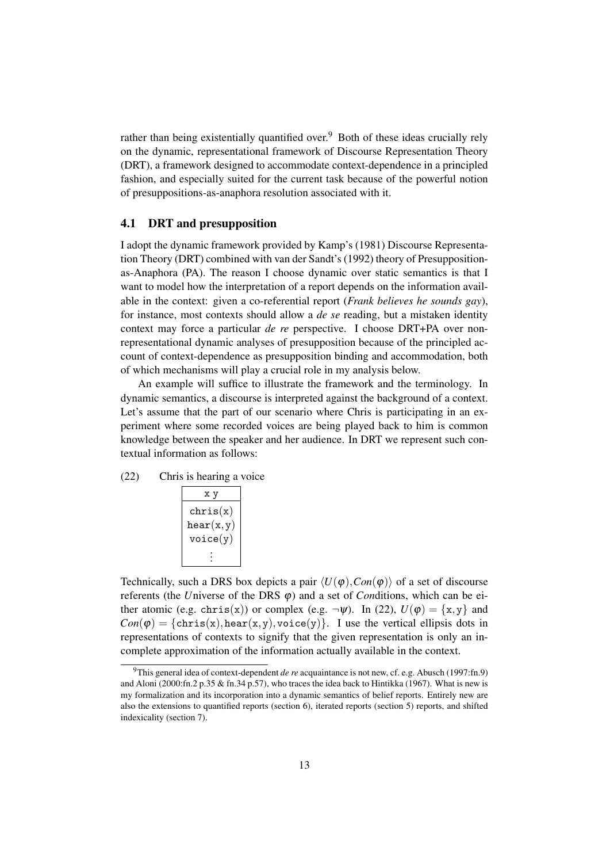rather than being existentially quantified over.<sup>9</sup> Both of these ideas crucially rely on the dynamic, representational framework of Discourse Representation Theory (DRT), a framework designed to accommodate context-dependence in a principled fashion, and especially suited for the current task because of the powerful notion of presuppositions-as-anaphora resolution associated with it.

### 4.1 DRT and presupposition

I adopt the dynamic framework provided by Kamp's (1981) Discourse Representation Theory (DRT) combined with van der Sandt's (1992) theory of Presuppositionas-Anaphora (PA). The reason I choose dynamic over static semantics is that I want to model how the interpretation of a report depends on the information available in the context: given a co-referential report (*Frank believes he sounds gay*), for instance, most contexts should allow a *de se* reading, but a mistaken identity context may force a particular *de re* perspective. I choose DRT+PA over nonrepresentational dynamic analyses of presupposition because of the principled account of context-dependence as presupposition binding and accommodation, both of which mechanisms will play a crucial role in my analysis below.

An example will suffice to illustrate the framework and the terminology. In dynamic semantics, a discourse is interpreted against the background of a context. Let's assume that the part of our scenario where Chris is participating in an experiment where some recorded voices are being played back to him is common knowledge between the speaker and her audience. In DRT we represent such contextual information as follows:

#### (22) Chris is hearing a voice

| хy                  |
|---------------------|
| chris(x)            |
| $\text{hear}(x, y)$ |
| $\texttt{voice}(y)$ |
|                     |

Technically, such a DRS box depicts a pair  $\langle U(\varphi),Con(\varphi) \rangle$  of a set of discourse referents (the *U*niverse of the DRS ϕ) and a set of *Con*ditions, which can be either atomic (e.g. chris(x)) or complex (e.g.  $\neg \psi$ ). In (22),  $U(\varphi) = \{x, y\}$  and  $Con(\varphi) = \{ \text{chris}(x), \text{hear}(x, y), \text{voice}(y) \}.$  I use the vertical ellipsis dots in representations of contexts to signify that the given representation is only an incomplete approximation of the information actually available in the context.

<sup>9</sup>This general idea of context-dependent *de re* acquaintance is not new, cf. e.g. Abusch (1997:fn.9) and Aloni (2000:fn.2 p.35 & fn.34 p.57), who traces the idea back to Hintikka (1967). What is new is my formalization and its incorporation into a dynamic semantics of belief reports. Entirely new are also the extensions to quantified reports (section 6), iterated reports (section 5) reports, and shifted indexicality (section 7).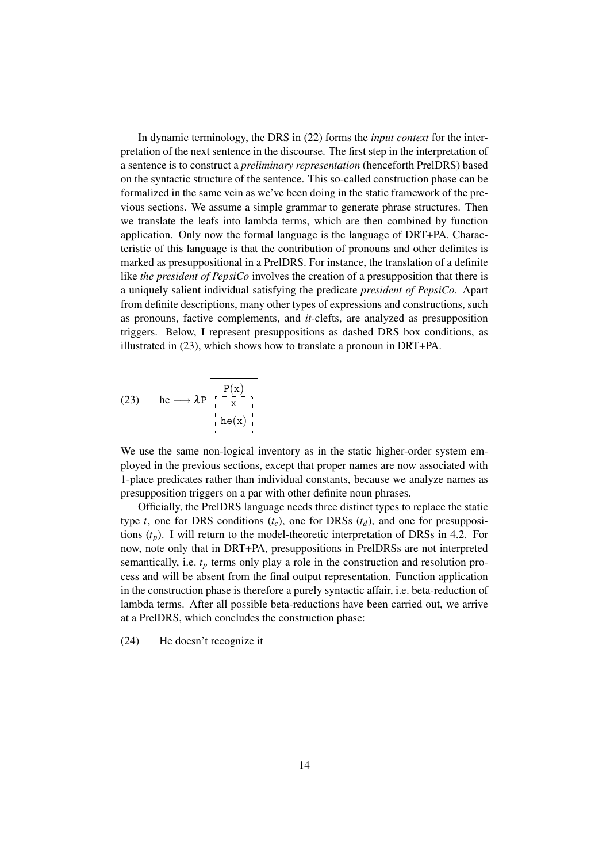In dynamic terminology, the DRS in (22) forms the *input context* for the interpretation of the next sentence in the discourse. The first step in the interpretation of a sentence is to construct a *preliminary representation* (henceforth PrelDRS) based on the syntactic structure of the sentence. This so-called construction phase can be formalized in the same vein as we've been doing in the static framework of the previous sections. We assume a simple grammar to generate phrase structures. Then we translate the leafs into lambda terms, which are then combined by function application. Only now the formal language is the language of DRT+PA. Characteristic of this language is that the contribution of pronouns and other definites is marked as presuppositional in a PrelDRS. For instance, the translation of a definite like *the president of PepsiCo* involves the creation of a presupposition that there is a uniquely salient individual satisfying the predicate *president of PepsiCo*. Apart from definite descriptions, many other types of expressions and constructions, such as pronouns, factive complements, and *it*-clefts, are analyzed as presupposition triggers. Below, I represent presuppositions as dashed DRS box conditions, as illustrated in (23), which shows how to translate a pronoun in DRT+PA.

(23) 
$$
\text{he} \longrightarrow \lambda \text{P} \begin{array}{|c|c|}\n\hline\n\text{P(x)} \\
\hline\n\text{r} & \text{x} \\
\hline\n\text{r} & \text{x} \\
\hline\n\text{h}\text{e(x)} \\
\hline\n\text{h}\text{e(x)} \\
\hline\n\text{h} & \text{h}\text{e(x)}\n\end{array}
$$

We use the same non-logical inventory as in the static higher-order system employed in the previous sections, except that proper names are now associated with 1-place predicates rather than individual constants, because we analyze names as presupposition triggers on a par with other definite noun phrases.

Officially, the PrelDRS language needs three distinct types to replace the static type *t*, one for DRS conditions  $(t_c)$ , one for DRSs  $(t_d)$ , and one for presuppositions  $(t_p)$ . I will return to the model-theoretic interpretation of DRSs in 4.2. For now, note only that in DRT+PA, presuppositions in PrelDRSs are not interpreted semantically, i.e. *t<sup>p</sup>* terms only play a role in the construction and resolution process and will be absent from the final output representation. Function application in the construction phase is therefore a purely syntactic affair, i.e. beta-reduction of lambda terms. After all possible beta-reductions have been carried out, we arrive at a PrelDRS, which concludes the construction phase:

(24) He doesn't recognize it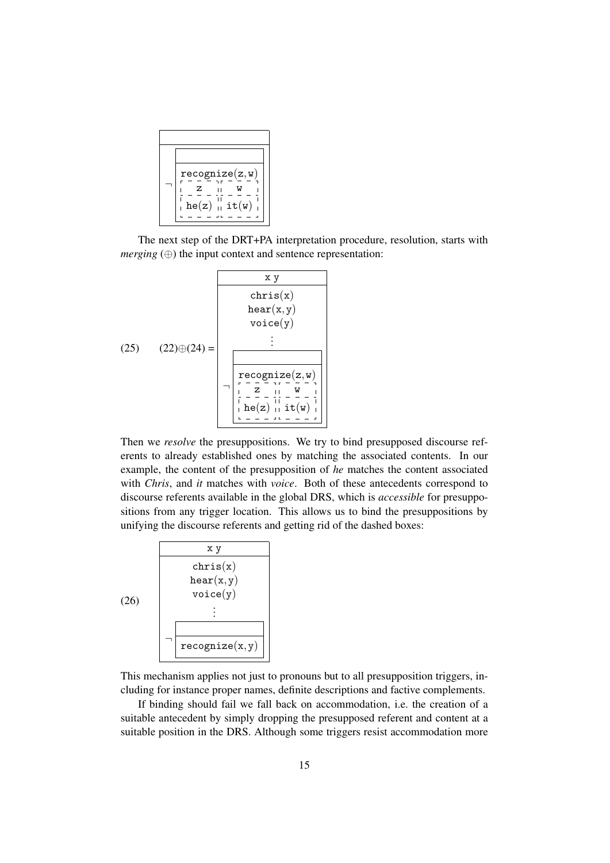| recognize(z, w)<br>7.<br>$he(z)$ it $(w)$ |
|-------------------------------------------|

The next step of the DRT+PA interpretation procedure, resolution, starts with *merging*  $(\oplus)$  the input context and sentence representation:



Then we *resolve* the presuppositions. We try to bind presupposed discourse referents to already established ones by matching the associated contents. In our example, the content of the presupposition of *he* matches the content associated with *Chris*, and *it* matches with *voice*. Both of these antecedents correspond to discourse referents available in the global DRS, which is *accessible* for presuppositions from any trigger location. This allows us to bind the presuppositions by unifying the discourse referents and getting rid of the dashed boxes:



This mechanism applies not just to pronouns but to all presupposition triggers, including for instance proper names, definite descriptions and factive complements.

If binding should fail we fall back on accommodation, i.e. the creation of a suitable antecedent by simply dropping the presupposed referent and content at a suitable position in the DRS. Although some triggers resist accommodation more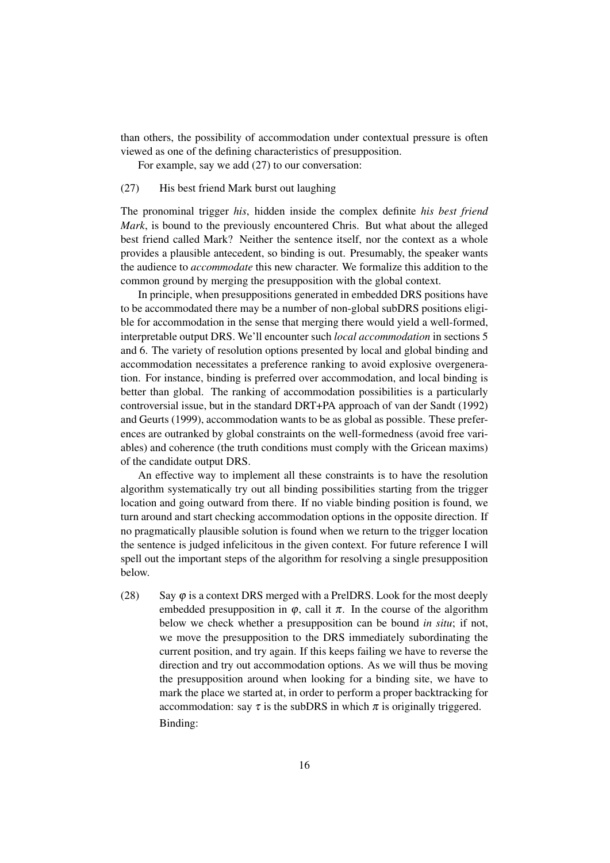than others, the possibility of accommodation under contextual pressure is often viewed as one of the defining characteristics of presupposition.

For example, say we add (27) to our conversation:

#### (27) His best friend Mark burst out laughing

The pronominal trigger *his*, hidden inside the complex definite *his best friend Mark*, is bound to the previously encountered Chris. But what about the alleged best friend called Mark? Neither the sentence itself, nor the context as a whole provides a plausible antecedent, so binding is out. Presumably, the speaker wants the audience to *accommodate* this new character. We formalize this addition to the common ground by merging the presupposition with the global context.

In principle, when presuppositions generated in embedded DRS positions have to be accommodated there may be a number of non-global subDRS positions eligible for accommodation in the sense that merging there would yield a well-formed, interpretable output DRS. We'll encounter such *local accommodation* in sections 5 and 6. The variety of resolution options presented by local and global binding and accommodation necessitates a preference ranking to avoid explosive overgeneration. For instance, binding is preferred over accommodation, and local binding is better than global. The ranking of accommodation possibilities is a particularly controversial issue, but in the standard DRT+PA approach of van der Sandt (1992) and Geurts (1999), accommodation wants to be as global as possible. These preferences are outranked by global constraints on the well-formedness (avoid free variables) and coherence (the truth conditions must comply with the Gricean maxims) of the candidate output DRS.

An effective way to implement all these constraints is to have the resolution algorithm systematically try out all binding possibilities starting from the trigger location and going outward from there. If no viable binding position is found, we turn around and start checking accommodation options in the opposite direction. If no pragmatically plausible solution is found when we return to the trigger location the sentence is judged infelicitous in the given context. For future reference I will spell out the important steps of the algorithm for resolving a single presupposition below.

(28) Say  $\varphi$  is a context DRS merged with a PrelDRS. Look for the most deeply embedded presupposition in  $\varphi$ , call it  $\pi$ . In the course of the algorithm below we check whether a presupposition can be bound *in situ*; if not, we move the presupposition to the DRS immediately subordinating the current position, and try again. If this keeps failing we have to reverse the direction and try out accommodation options. As we will thus be moving the presupposition around when looking for a binding site, we have to mark the place we started at, in order to perform a proper backtracking for accommodation: say  $\tau$  is the subDRS in which  $\pi$  is originally triggered. Binding: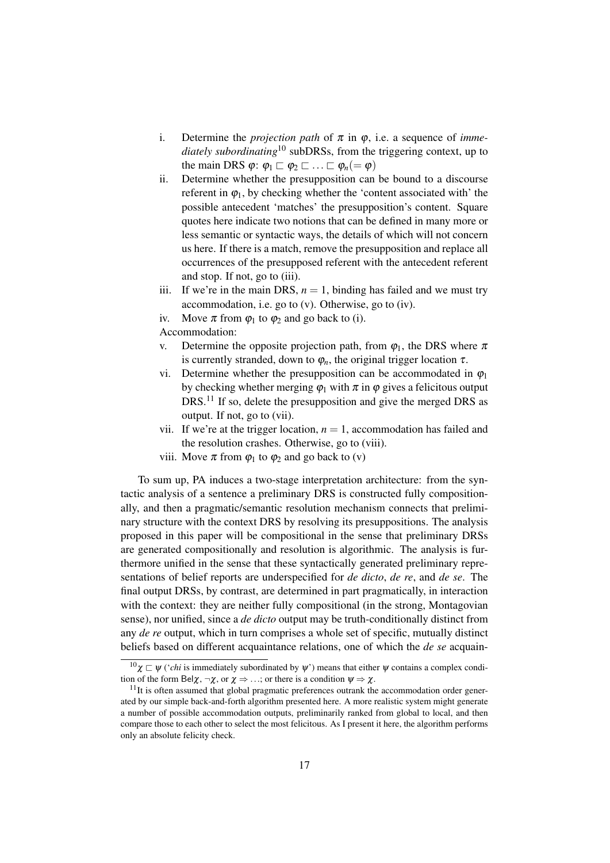- i. Determine the *projection path* of  $\pi$  in  $\varphi$ , i.e. a sequence of *immediately subordinating*<sup>10</sup> subDRSs, from the triggering context, up to the main DRS  $\varphi: \varphi_1 \sqsubset \varphi_2 \sqsubset \ldots \sqsubset \varphi_n (=\varphi)$
- ii. Determine whether the presupposition can be bound to a discourse referent in  $\varphi_1$ , by checking whether the 'content associated with' the possible antecedent 'matches' the presupposition's content. Square quotes here indicate two notions that can be defined in many more or less semantic or syntactic ways, the details of which will not concern us here. If there is a match, remove the presupposition and replace all occurrences of the presupposed referent with the antecedent referent and stop. If not, go to (iii).
- iii. If we're in the main DRS,  $n = 1$ , binding has failed and we must try accommodation, i.e. go to (v). Otherwise, go to (iv).
- iv. Move  $\pi$  from  $\varphi_1$  to  $\varphi_2$  and go back to (i).

Accommodation:

- v. Determine the opposite projection path, from  $\varphi_1$ , the DRS where  $\pi$ is currently stranded, down to  $\varphi_n$ , the original trigger location  $\tau$ .
- vi. Determine whether the presupposition can be accommodated in  $\varphi_1$ by checking whether merging  $\varphi_1$  with  $\pi$  in  $\varphi$  gives a felicitous output DRS.<sup>11</sup> If so, delete the presupposition and give the merged DRS as output. If not, go to (vii).
- vii. If we're at the trigger location,  $n = 1$ , accommodation has failed and the resolution crashes. Otherwise, go to (viii).
- viii. Move  $\pi$  from  $\varphi_1$  to  $\varphi_2$  and go back to (v)

To sum up, PA induces a two-stage interpretation architecture: from the syntactic analysis of a sentence a preliminary DRS is constructed fully compositionally, and then a pragmatic/semantic resolution mechanism connects that preliminary structure with the context DRS by resolving its presuppositions. The analysis proposed in this paper will be compositional in the sense that preliminary DRSs are generated compositionally and resolution is algorithmic. The analysis is furthermore unified in the sense that these syntactically generated preliminary representations of belief reports are underspecified for *de dicto*, *de re*, and *de se*. The final output DRSs, by contrast, are determined in part pragmatically, in interaction with the context: they are neither fully compositional (in the strong, Montagovian sense), nor unified, since a *de dicto* output may be truth-conditionally distinct from any *de re* output, which in turn comprises a whole set of specific, mutually distinct beliefs based on different acquaintance relations, one of which the *de se* acquain-

<sup>&</sup>lt;sup>10</sup> $\chi \sqsubset \psi$  (*'chi* is immediately subordinated by  $\psi$ ') means that either  $\psi$  contains a complex condition of the form Bel $\chi$ ,  $\neg \chi$ , or  $\chi \Rightarrow \ldots$ ; or there is a condition  $\psi \Rightarrow \chi$ .

 $11$ It is often assumed that global pragmatic preferences outrank the accommodation order generated by our simple back-and-forth algorithm presented here. A more realistic system might generate a number of possible accommodation outputs, preliminarily ranked from global to local, and then compare those to each other to select the most felicitous. As I present it here, the algorithm performs only an absolute felicity check.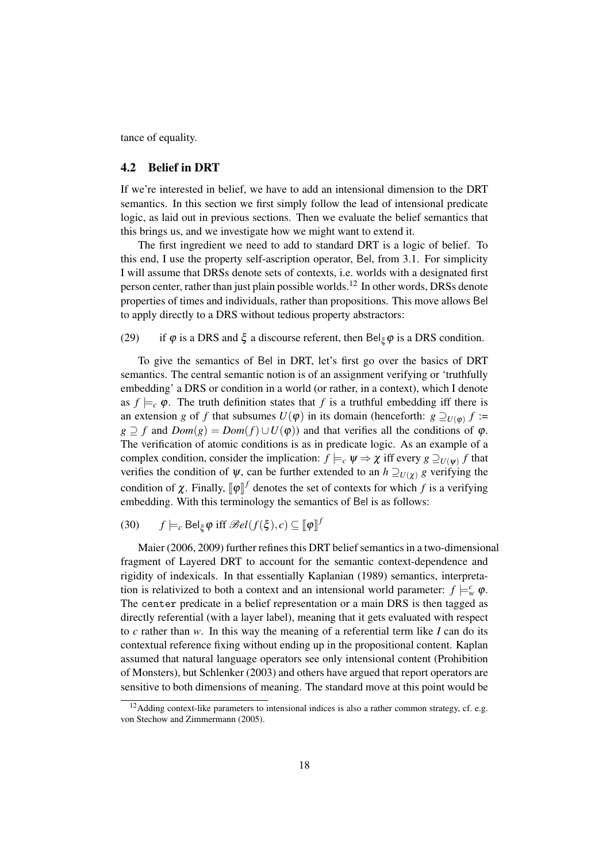tance of equality.

#### 4.2 Belief in DRT

If we're interested in belief, we have to add an intensional dimension to the DRT semantics. In this section we first simply follow the lead of intensional predicate logic, as laid out in previous sections. Then we evaluate the belief semantics that this brings us, and we investigate how we might want to extend it.

The first ingredient we need to add to standard DRT is a logic of belief. To this end, I use the property self-ascription operator, Bel, from 3.1. For simplicity I will assume that DRSs denote sets of contexts, i.e. worlds with a designated first person center, rather than just plain possible worlds.<sup>12</sup> In other words, DRSs denote properties of times and individuals, rather than propositions. This move allows Bel to apply directly to a DRS without tedious property abstractors:

#### (29) if  $\varphi$  is a DRS and  $\xi$  a discourse referent, then Bel<sub> $\xi$ </sub>  $\varphi$  is a DRS condition.

To give the semantics of Bel in DRT, let's first go over the basics of DRT semantics. The central semantic notion is of an assignment verifying or 'truthfully embedding' a DRS or condition in a world (or rather, in a context), which I denote as  $f \models_c \varphi$ . The truth definition states that f is a truthful embedding iff there is an extension *g* of *f* that subsumes  $U(\varphi)$  in its domain (henceforth:  $g \supseteq_{U(\varphi)} f :=$  $g \supseteq f$  and  $Dom(g) = Dom(f) \cup U(\varphi)$  and that verifies all the conditions of  $\varphi$ . The verification of atomic conditions is as in predicate logic. As an example of a complex condition, consider the implication:  $f \models_c \psi \Rightarrow \chi$  iff every  $g \supseteq_{U(\psi)} f$  that verifies the condition of  $\psi$ , can be further extended to an  $h \supseteq_{U(\chi)} g$  verifying the condition of  $\chi$ . Finally,  $[\![\varphi]\!]^f$  denotes the set of contexts for which *f* is a verifying embedding. With this terminology the computies of Pol is as follows: embedding. With this terminology the semantics of Bel is as follows:

(30) 
$$
f \models_c \text{Bel}_{\xi} \varphi \text{ iff } \mathscr{B}el(f(\xi), c) \subseteq [\![\varphi]\!]
$$

Maier (2006, 2009) further refines this DRT belief semantics in a two-dimensional fragment of Layered DRT to account for the semantic context-dependence and rigidity of indexicals. In that essentially Kaplanian (1989) semantics, interpretation is relativized to both a context and an intensional world parameter:  $f \models_w^c \varphi$ . The center predicate in a belief representation or a main DRS is then tagged as directly referential (with a layer label), meaning that it gets evaluated with respect to *c* rather than *w*. In this way the meaning of a referential term like *I* can do its contextual reference fixing without ending up in the propositional content. Kaplan assumed that natural language operators see only intensional content (Prohibition of Monsters), but Schlenker (2003) and others have argued that report operators are sensitive to both dimensions of meaning. The standard move at this point would be

<sup>&</sup>lt;sup>12</sup> Adding context-like parameters to intensional indices is also a rather common strategy, cf. e.g. von Stechow and Zimmermann (2005).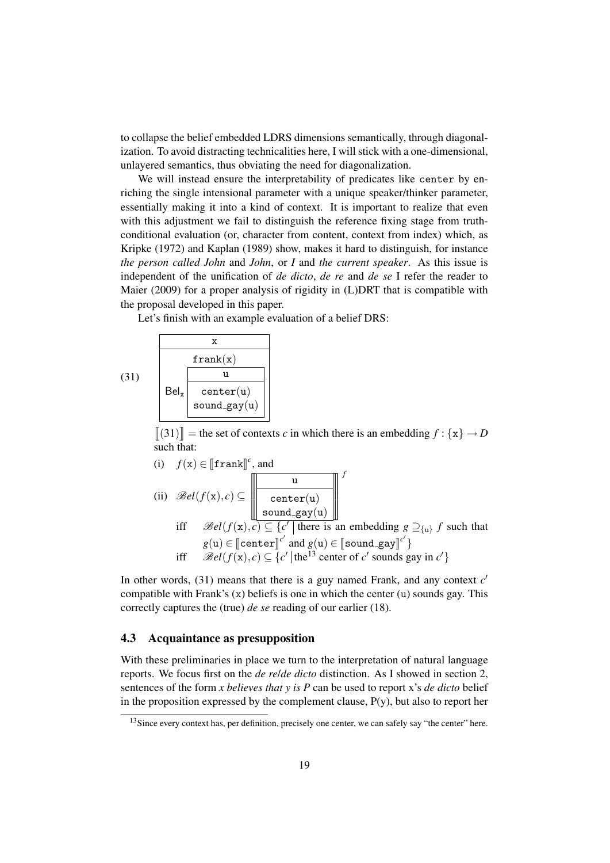to collapse the belief embedded LDRS dimensions semantically, through diagonalization. To avoid distracting technicalities here, I will stick with a one-dimensional, unlayered semantics, thus obviating the need for diagonalization.

We will instead ensure the interpretability of predicates like center by enriching the single intensional parameter with a unique speaker/thinker parameter, essentially making it into a kind of context. It is important to realize that even with this adjustment we fail to distinguish the reference fixing stage from truthconditional evaluation (or, character from content, context from index) which, as Kripke (1972) and Kaplan (1989) show, makes it hard to distinguish, for instance *the person called John* and *John*, or *I* and *the current speaker*. As this issue is independent of the unification of *de dicto*, *de re* and *de se* I refer the reader to Maier (2009) for a proper analysis of rigidity in (L)DRT that is compatible with the proposal developed in this paper.

Let's finish with an example evaluation of a belief DRS:

$$
(31)
$$
\n
$$
Bel_{x} \n\begin{array}{|c|c|}\n x \\
 \hline\n \text{frank}(x) \\
 \hline\n u \\
 \text{center}(u) \\
 \text{sound\_gay}(u)\n\end{array}
$$

 $\llbracket (31) \rrbracket =$  the set of contexts *c* in which there is an embedding  $f : \{x\} \to D$ such that:

(i) 
$$
f(\mathbf{x}) \in [\text{frank}]^c
$$
, and  
\n(ii)  $\mathscr{B}el(f(\mathbf{x}), c) \subseteq \left\| \begin{array}{c} \mathbf{u} \\ \text{center(u)} \\ \text{sound\_gay(u)} \end{array} \right\|^{f}$   
\nif  $\mathscr{B}el(f(\mathbf{x}), c) \subseteq \{c' \mid \text{there is an embedding } g \supseteq_{\{\mathbf{u}\}} f \text{ such that } g(\mathbf{u}) \in [\text{center}]^{c'} \text{ and } g(\mathbf{u}) \in [\text{sound\_gay}]^{c'} \}$   
\nif  $\mathscr{B}el(f(\mathbf{x}), c) \subseteq \{c' \mid \text{the}^{13} \text{ center of } c' \text{ sounds gay in } c' \}$ 

In other words,  $(31)$  means that there is a guy named Frank, and any context  $c'$ compatible with Frank's (x) beliefs is one in which the center (u) sounds gay. This correctly captures the (true) *de se* reading of our earlier (18).

#### 4.3 Acquaintance as presupposition

With these preliminaries in place we turn to the interpretation of natural language reports. We focus first on the *de re*/*de dicto* distinction. As I showed in section 2, sentences of the form *x believes that y is P* can be used to report x's *de dicto* belief in the proposition expressed by the complement clause,  $P(y)$ , but also to report her

<sup>&</sup>lt;sup>13</sup>Since every context has, per definition, precisely one center, we can safely say "the center" here.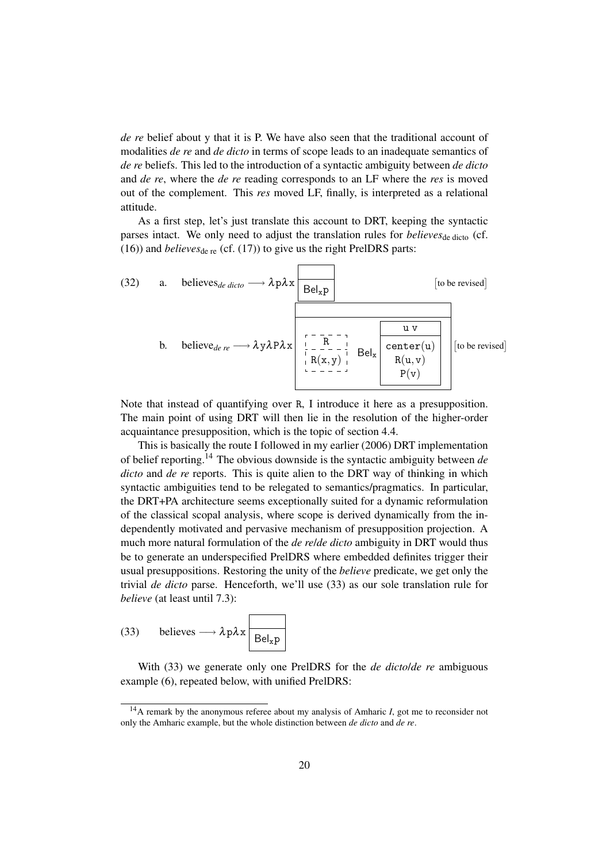*de re* belief about y that it is P. We have also seen that the traditional account of modalities *de re* and *de dicto* in terms of scope leads to an inadequate semantics of *de re* beliefs. This led to the introduction of a syntactic ambiguity between *de dicto* and *de re*, where the *de re* reading corresponds to an LF where the *res* is moved out of the complement. This *res* moved LF, finally, is interpreted as a relational attitude.

As a first step, let's just translate this account to DRT, keeping the syntactic parses intact. We only need to adjust the translation rules for *believes*<sub>de dicto</sub> (cf. (16)) and *believes*  $_{de re}$  (cf. (17)) to give us the right PrelDRS parts:



Note that instead of quantifying over R, I introduce it here as a presupposition. The main point of using DRT will then lie in the resolution of the higher-order acquaintance presupposition, which is the topic of section 4.4.

This is basically the route I followed in my earlier (2006) DRT implementation of belief reporting.<sup>14</sup> The obvious downside is the syntactic ambiguity between *de dicto* and *de re* reports. This is quite alien to the DRT way of thinking in which syntactic ambiguities tend to be relegated to semantics/pragmatics. In particular, the DRT+PA architecture seems exceptionally suited for a dynamic reformulation of the classical scopal analysis, where scope is derived dynamically from the independently motivated and pervasive mechanism of presupposition projection. A much more natural formulation of the *de re*/*de dicto* ambiguity in DRT would thus be to generate an underspecified PrelDRS where embedded definites trigger their usual presuppositions. Restoring the unity of the *believe* predicate, we get only the trivial *de dicto* parse. Henceforth, we'll use (33) as our sole translation rule for *believe* (at least until 7.3):

(33) believes 
$$
\longrightarrow \lambda p \lambda x
$$
  $Bel_x p$ 

With (33) we generate only one PrelDRS for the *de dicto*/*de re* ambiguous example (6), repeated below, with unified PrelDRS:

<sup>14</sup>A remark by the anonymous referee about my analysis of Amharic *I*, got me to reconsider not only the Amharic example, but the whole distinction between *de dicto* and *de re*.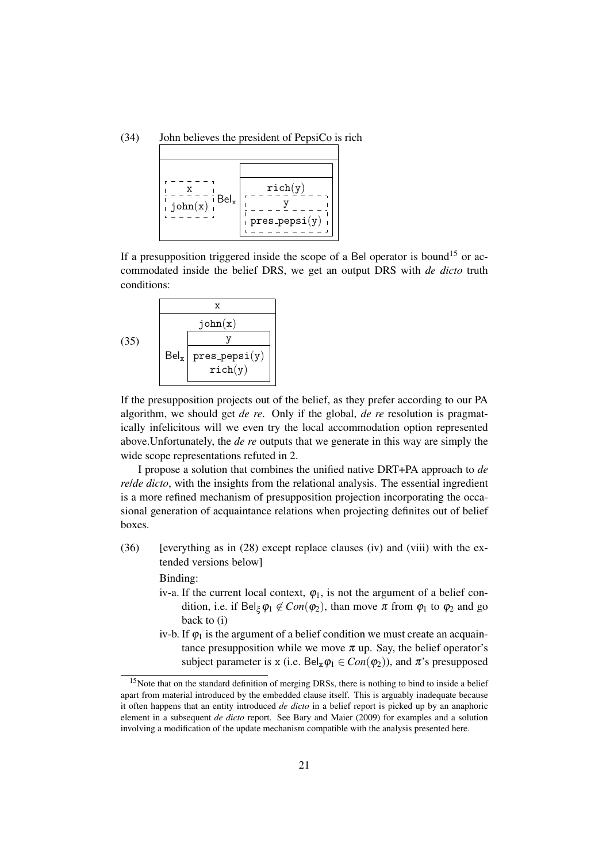#### (34) John believes the president of PepsiCo is rich

| i Bel <sub>x</sub> | $\text{rich}(y)$ |
|--------------------|------------------|
| john(x)            | $pres\_pepsi(y)$ |

If a presupposition triggered inside the scope of a Bel operator is bound<sup>15</sup> or accommodated inside the belief DRS, we get an output DRS with *de dicto* truth conditions:

(35) 
$$
\begin{array}{|c|}\n & x \\
 & \underline{j \circ \text{hn}(x)} \\
 \hline\n & y \\
 \hline\n & \text{pres} \rightarrow y \\
 & \text{rich}(y)\n \end{array}
$$

If the presupposition projects out of the belief, as they prefer according to our PA algorithm, we should get *de re*. Only if the global, *de re* resolution is pragmatically infelicitous will we even try the local accommodation option represented above.Unfortunately, the *de re* outputs that we generate in this way are simply the wide scope representations refuted in 2.

I propose a solution that combines the unified native DRT+PA approach to *de relde dicto*, with the insights from the relational analysis. The essential ingredient is a more refined mechanism of presupposition projection incorporating the occasional generation of acquaintance relations when projecting definites out of belief boxes.

 $(36)$  [everything as in  $(28)$  except replace clauses (iv) and (viii) with the extended versions below]

Binding:

- iv-a. If the current local context,  $\varphi_1$ , is not the argument of a belief condition, i.e. if Bel $\epsilon \varphi_1 \notin Con(\varphi_2)$ , than move  $\pi$  from  $\varphi_1$  to  $\varphi_2$  and go back to (i)
- iv-b. If  $\varphi_1$  is the argument of a belief condition we must create an acquaintance presupposition while we move  $\pi$  up. Say, the belief operator's subject parameter is x (i.e. Bel<sub>x</sub> $\varphi_1 \in Con(\varphi_2)$ ), and  $\pi$ 's presupposed

<sup>&</sup>lt;sup>15</sup>Note that on the standard definition of merging DRSs, there is nothing to bind to inside a belief apart from material introduced by the embedded clause itself. This is arguably inadequate because it often happens that an entity introduced *de dicto* in a belief report is picked up by an anaphoric element in a subsequent *de dicto* report. See Bary and Maier (2009) for examples and a solution involving a modification of the update mechanism compatible with the analysis presented here.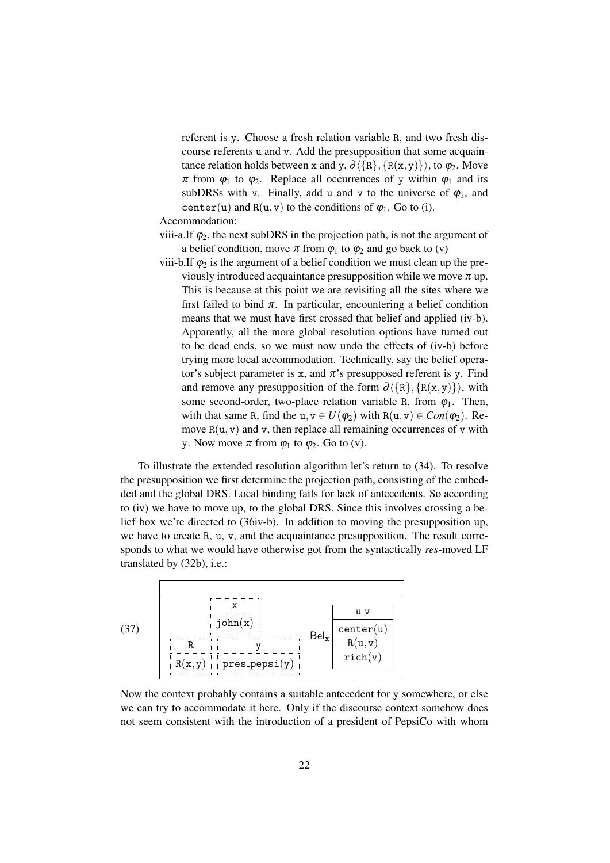referent is y. Choose a fresh relation variable R, and two fresh discourse referents u and v. Add the presupposition that some acquaintance relation holds between x and y,  $\partial \langle \{R\}, \{R(x,y)\}\rangle$ , to  $\varphi_2$ . Move  $\pi$  from  $\varphi_1$  to  $\varphi_2$ . Replace all occurrences of y within  $\varphi_1$  and its subDRSs with v. Finally, add u and v to the universe of  $\varphi_1$ , and center(u) and  $R(u, v)$  to the conditions of  $\varphi_1$ . Go to (i).

#### Accommodation:

- viii-a.If  $\varphi_2$ , the next subDRS in the projection path, is not the argument of a belief condition, move  $\pi$  from  $\varphi_1$  to  $\varphi_2$  and go back to (v)
- viii-b.If  $\varphi_2$  is the argument of a belief condition we must clean up the previously introduced acquaintance presupposition while we move  $\pi$  up. This is because at this point we are revisiting all the sites where we first failed to bind  $\pi$ . In particular, encountering a belief condition means that we must have first crossed that belief and applied (iv-b). Apparently, all the more global resolution options have turned out to be dead ends, so we must now undo the effects of (iv-b) before trying more local accommodation. Technically, say the belief operator's subject parameter is x, and  $\pi$ 's presupposed referent is y. Find and remove any presupposition of the form  $\partial \langle \{R\}, \{R(x,y)\}\rangle$ , with some second-order, two-place relation variable R, from  $\varphi_1$ . Then, with that same R, find the u,  $v \in U(\varphi_2)$  with  $R(u, v) \in Con(\varphi_2)$ . Remove  $R(u, v)$  and v, then replace all remaining occurrences of v with y. Now move  $\pi$  from  $\varphi_1$  to  $\varphi_2$ . Go to (v).

To illustrate the extended resolution algorithm let's return to (34). To resolve the presupposition we first determine the projection path, consisting of the embedded and the global DRS. Local binding fails for lack of antecedents. So according to (iv) we have to move up, to the global DRS. Since this involves crossing a belief box we're directed to (36iv-b). In addition to moving the presupposition up, we have to create R, u, v, and the acquaintance presupposition. The result corresponds to what we would have otherwise got from the syntactically *res*-moved LF translated by (32b), i.e.:

| (37) |  |
|------|--|

|                                   |                  | u v                                                         |
|-----------------------------------|------------------|-------------------------------------------------------------|
| john(x)<br>$R(x,y)$ pres_pepsi(y) | Bel <sub>x</sub> | center(u)<br>$\mathtt{R}(\mathtt{u},\mathtt{v})$<br>rich(v) |

Now the context probably contains a suitable antecedent for y somewhere, or else we can try to accommodate it here. Only if the discourse context somehow does not seem consistent with the introduction of a president of PepsiCo with whom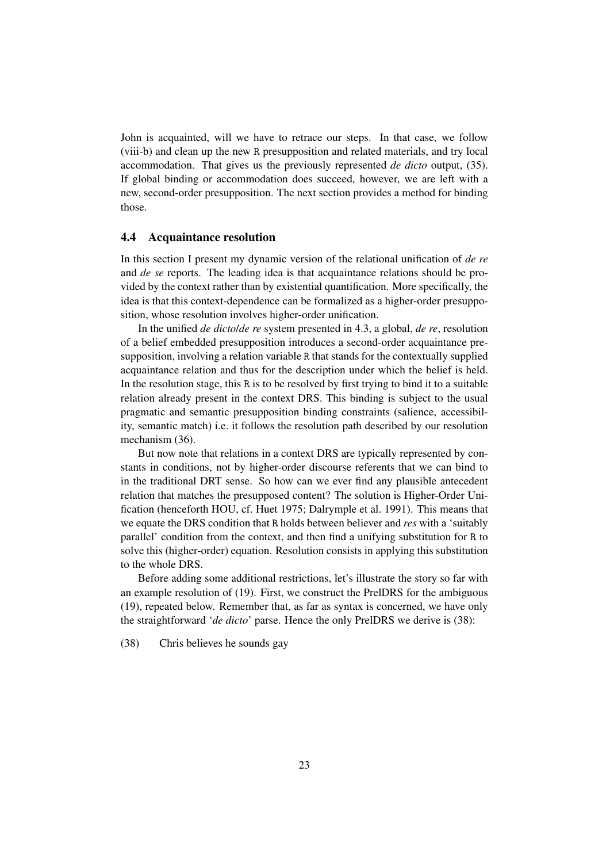John is acquainted, will we have to retrace our steps. In that case, we follow (viii-b) and clean up the new R presupposition and related materials, and try local accommodation. That gives us the previously represented *de dicto* output, (35). If global binding or accommodation does succeed, however, we are left with a new, second-order presupposition. The next section provides a method for binding those.

#### 4.4 Acquaintance resolution

In this section I present my dynamic version of the relational unification of *de re* and *de se* reports. The leading idea is that acquaintance relations should be provided by the context rather than by existential quantification. More specifically, the idea is that this context-dependence can be formalized as a higher-order presupposition, whose resolution involves higher-order unification.

In the unified *de dicto*/*de re* system presented in 4.3, a global, *de re*, resolution of a belief embedded presupposition introduces a second-order acquaintance presupposition, involving a relation variable R that stands for the contextually supplied acquaintance relation and thus for the description under which the belief is held. In the resolution stage, this R is to be resolved by first trying to bind it to a suitable relation already present in the context DRS. This binding is subject to the usual pragmatic and semantic presupposition binding constraints (salience, accessibility, semantic match) i.e. it follows the resolution path described by our resolution mechanism (36).

But now note that relations in a context DRS are typically represented by constants in conditions, not by higher-order discourse referents that we can bind to in the traditional DRT sense. So how can we ever find any plausible antecedent relation that matches the presupposed content? The solution is Higher-Order Unification (henceforth HOU, cf. Huet 1975; Dalrymple et al. 1991). This means that we equate the DRS condition that R holds between believer and *res* with a 'suitably parallel' condition from the context, and then find a unifying substitution for R to solve this (higher-order) equation. Resolution consists in applying this substitution to the whole DRS.

Before adding some additional restrictions, let's illustrate the story so far with an example resolution of (19). First, we construct the PrelDRS for the ambiguous (19), repeated below. Remember that, as far as syntax is concerned, we have only the straightforward '*de dicto*' parse. Hence the only PrelDRS we derive is (38):

(38) Chris believes he sounds gay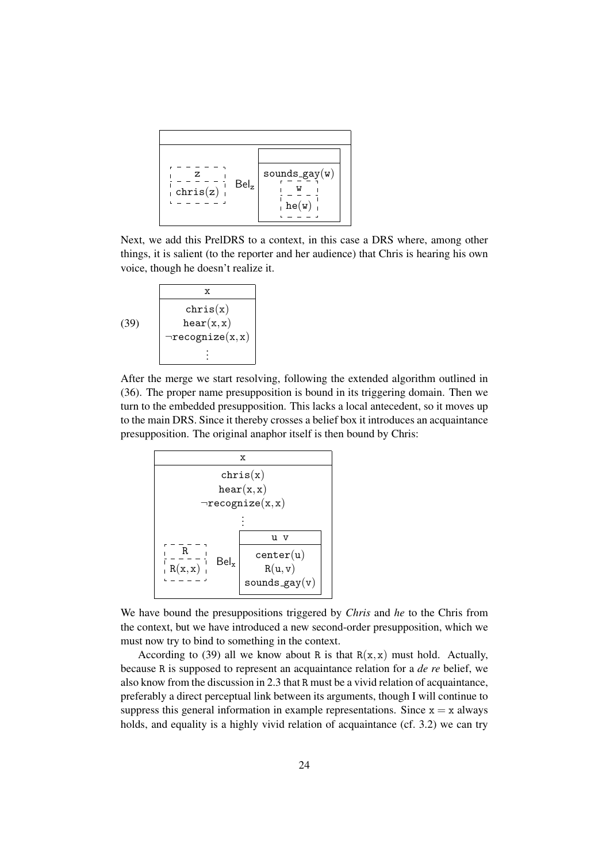| $\texttt{chris(z)}$ | Bel <sub>z</sub> | $sounds_gay(w)$<br>W<br>he(w) |
|---------------------|------------------|-------------------------------|

Next, we add this PrelDRS to a context, in this case a DRS where, among other things, it is salient (to the reporter and her audience) that Chris is hearing his own voice, though he doesn't realize it.

|      | chris(x)                       |
|------|--------------------------------|
| (39) | hear(x, x)                     |
|      | $\neg \texttt{recognize(x,x)}$ |
|      |                                |

After the merge we start resolving, following the extended algorithm outlined in (36). The proper name presupposition is bound in its triggering domain. Then we turn to the embedded presupposition. This lacks a local antecedent, so it moves up to the main DRS. Since it thereby crosses a belief box it introduces an acquaintance presupposition. The original anaphor itself is then bound by Chris:



We have bound the presuppositions triggered by *Chris* and *he* to the Chris from the context, but we have introduced a new second-order presupposition, which we must now try to bind to something in the context.

According to (39) all we know about R is that  $R(x, x)$  must hold. Actually, because R is supposed to represent an acquaintance relation for a *de re* belief, we also know from the discussion in 2.3 that R must be a vivid relation of acquaintance, preferably a direct perceptual link between its arguments, though I will continue to suppress this general information in example representations. Since  $x = x$  always holds, and equality is a highly vivid relation of acquaintance (cf. 3.2) we can try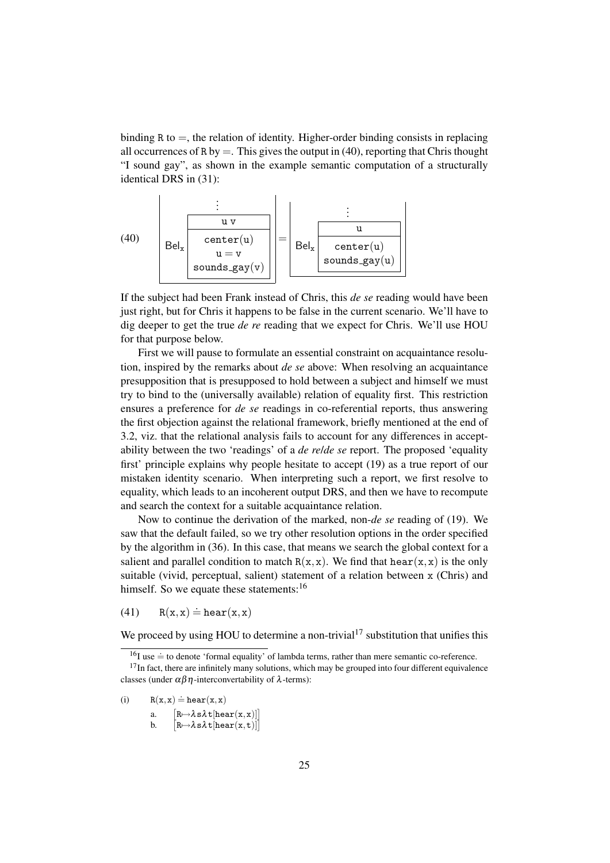binding R to  $=$ , the relation of identity. Higher-order binding consists in replacing all occurrences of R by  $=$ . This gives the output in (40), reporting that Chris thought "I sound gay", as shown in the example semantic computation of a structurally identical DRS in (31):



If the subject had been Frank instead of Chris, this *de se* reading would have been just right, but for Chris it happens to be false in the current scenario. We'll have to dig deeper to get the true *de re* reading that we expect for Chris. We'll use HOU for that purpose below.

First we will pause to formulate an essential constraint on acquaintance resolution, inspired by the remarks about *de se* above: When resolving an acquaintance presupposition that is presupposed to hold between a subject and himself we must try to bind to the (universally available) relation of equality first. This restriction ensures a preference for *de se* readings in co-referential reports, thus answering the first objection against the relational framework, briefly mentioned at the end of 3.2, viz. that the relational analysis fails to account for any differences in acceptability between the two 'readings' of a *de re*/*de se* report. The proposed 'equality first' principle explains why people hesitate to accept (19) as a true report of our mistaken identity scenario. When interpreting such a report, we first resolve to equality, which leads to an incoherent output DRS, and then we have to recompute and search the context for a suitable acquaintance relation.

Now to continue the derivation of the marked, non-*de se* reading of (19). We saw that the default failed, so we try other resolution options in the order specified by the algorithm in (36). In this case, that means we search the global context for a salient and parallel condition to match  $R(x, x)$ . We find that hear $(x, x)$  is the only suitable (vivid, perceptual, salient) statement of a relation between x (Chris) and himself. So we equate these statements:<sup>16</sup>

(41)  $R(x,x) \doteq hear(x,x)$ 

We proceed by using HOU to determine a non-trivial  $17$  substitution that unifies this

(i)  $R(x,x) \doteq hear(x,x)$ 

 $<sub>b</sub>$ .</sub>  $\mathtt{R}\!\!\mapsto\!\!\lambda\,\mathtt{s}\lambda\mathtt{t}[\mathtt{hear}(\mathtt{x},\mathtt{t})]\big]$ 

 $^{16}I$  use  $\dot{=}$  to denote 'formal equality' of lambda terms, rather than mere semantic co-reference.

<sup>&</sup>lt;sup>17</sup>In fact, there are infinitely many solutions, which may be grouped into four different equivalence classes (under  $\alpha\beta\eta$ -interconvertability of  $\lambda$ -terms):

a. - $\mathtt{R}\!\!\mapsto\!\!\lambda\,\mathtt{s}\lambda\mathtt{t}[\mathtt{hear}(\mathtt{x},\mathtt{x})]\big]$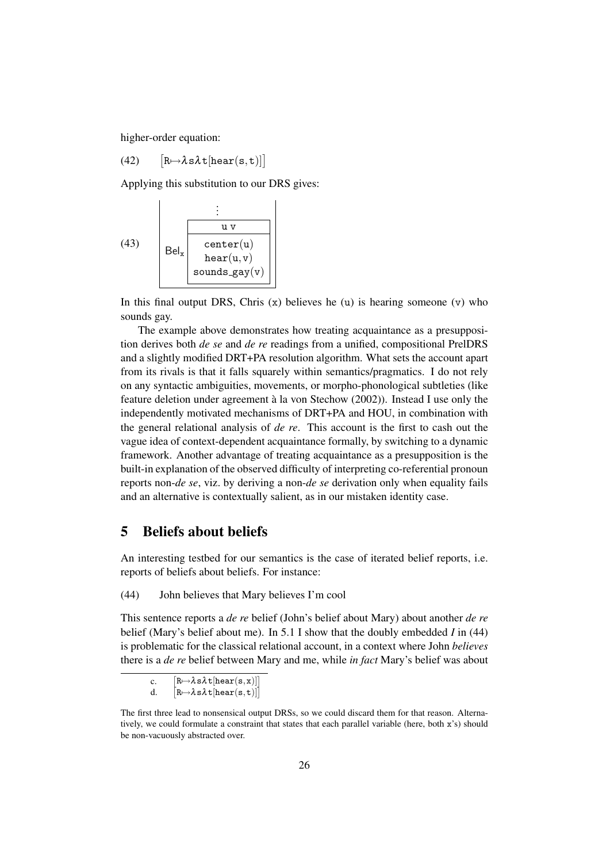higher-order equation:

(42) 
$$
\left[ R \mapsto \lambda s \lambda t [\text{hear}(s, t)] \right]
$$

Applying this substitution to our DRS gives:

(43)  

$$
\begin{array}{c}\n \vdots \\
 \begin{array}{c}\n \vdots \\
 \text{w } v \\
 \text{center(u)} \\
 \text{hear(u, v)} \\
 \text{sounds\_gay(v)}\n \end{array}\n \end{array}
$$

In this final output DRS, Chris  $(x)$  believes he  $(u)$  is hearing someone  $(v)$  who sounds gay.

The example above demonstrates how treating acquaintance as a presupposition derives both *de se* and *de re* readings from a unified, compositional PrelDRS and a slightly modified DRT+PA resolution algorithm. What sets the account apart from its rivals is that it falls squarely within semantics/pragmatics. I do not rely on any syntactic ambiguities, movements, or morpho-phonological subtleties (like feature deletion under agreement à la von Stechow (2002)). Instead I use only the independently motivated mechanisms of DRT+PA and HOU, in combination with the general relational analysis of *de re*. This account is the first to cash out the vague idea of context-dependent acquaintance formally, by switching to a dynamic framework. Another advantage of treating acquaintance as a presupposition is the built-in explanation of the observed difficulty of interpreting co-referential pronoun reports non-*de se*, viz. by deriving a non-*de se* derivation only when equality fails and an alternative is contextually salient, as in our mistaken identity case.

## 5 Beliefs about beliefs

An interesting testbed for our semantics is the case of iterated belief reports, i.e. reports of beliefs about beliefs. For instance:

(44) John believes that Mary believes I'm cool

This sentence reports a *de re* belief (John's belief about Mary) about another *de re* belief (Mary's belief about me). In 5.1 I show that the doubly embedded *I* in (44) is problematic for the classical relational account, in a context where John *believes* there is a *de re* belief between Mary and me, while *in fact* Mary's belief was about

```
c.
                                \mathtt{R}\!\!\mapsto\!\!\lambda\,\mathtt{s}\lambda\mathtt{t}[\mathtt{hear}(\mathtt{s},\mathtt{x})]\big]\mathbf d\mathtt{R}\!\!\mapsto\!\!\lambda\,\mathtt{s}\lambda\mathtt{t}[\mathtt{hear}(\mathtt{s},\mathtt{t})]\big]
```
The first three lead to nonsensical output DRSs, so we could discard them for that reason. Alternatively, we could formulate a constraint that states that each parallel variable (here, both x's) should be non-vacuously abstracted over.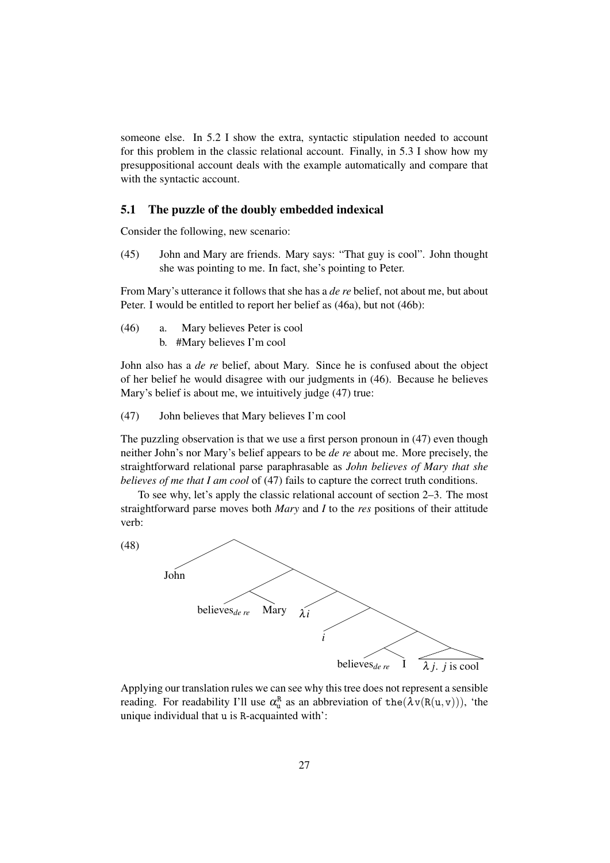someone else. In 5.2 I show the extra, syntactic stipulation needed to account for this problem in the classic relational account. Finally, in 5.3 I show how my presuppositional account deals with the example automatically and compare that with the syntactic account.

#### 5.1 The puzzle of the doubly embedded indexical

Consider the following, new scenario:

(45) John and Mary are friends. Mary says: "That guy is cool". John thought she was pointing to me. In fact, she's pointing to Peter.

From Mary's utterance it follows that she has a *de re* belief, not about me, but about Peter. I would be entitled to report her belief as (46a), but not (46b):

(46) a. Mary believes Peter is cool b. #Mary believes I'm cool

John also has a *de re* belief, about Mary. Since he is confused about the object of her belief he would disagree with our judgments in (46). Because he believes Mary's belief is about me, we intuitively judge (47) true:

(47) John believes that Mary believes I'm cool

The puzzling observation is that we use a first person pronoun in (47) even though neither John's nor Mary's belief appears to be *de re* about me. More precisely, the straightforward relational parse paraphrasable as *John believes of Mary that she believes of me that I am cool* of (47) fails to capture the correct truth conditions.

To see why, let's apply the classic relational account of section 2–3. The most straightforward parse moves both *Mary* and *I* to the *res* positions of their attitude verb:



Applying our translation rules we can see why this tree does not represent a sensible reading. For readability I'll use  $\alpha_u^R$  as an abbreviation of the  $(\lambda v(R(u, v)))$ , 'the unique individual that u is R-acquainted with':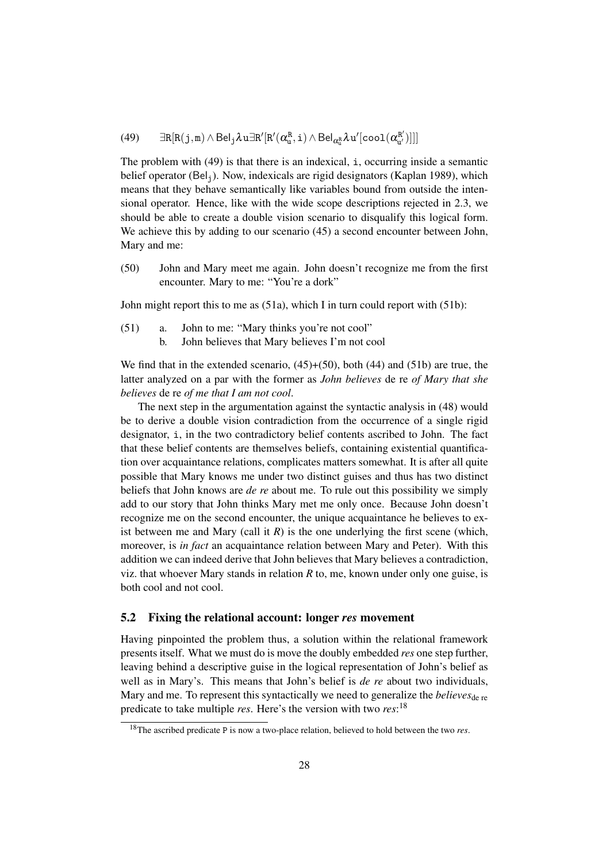#### (49)  $\exists R[R(j,m)\wedge Bel_j\lambda u \exists R'[R'(\alpha_u^R,i)\wedge Bel_{\alpha_u^R}\lambda u'[\texttt{cool}(\alpha_{u'}^{R'})$  $\begin{bmatrix} R' \\ u' \end{bmatrix}$

The problem with (49) is that there is an indexical, i, occurring inside a semantic belief operator (Bel<sub>j</sub>). Now, indexicals are rigid designators (Kaplan 1989), which means that they behave semantically like variables bound from outside the intensional operator. Hence, like with the wide scope descriptions rejected in 2.3, we should be able to create a double vision scenario to disqualify this logical form. We achieve this by adding to our scenario (45) a second encounter between John, Mary and me:

(50) John and Mary meet me again. John doesn't recognize me from the first encounter. Mary to me: "You're a dork"

John might report this to me as (51a), which I in turn could report with (51b):

- (51) a. John to me: "Mary thinks you're not cool"
	- b. John believes that Mary believes I'm not cool

We find that in the extended scenario,  $(45)+(50)$ , both  $(44)$  and  $(51b)$  are true, the latter analyzed on a par with the former as *John believes* de re *of Mary that she believes* de re *of me that I am not cool*.

The next step in the argumentation against the syntactic analysis in (48) would be to derive a double vision contradiction from the occurrence of a single rigid designator, i, in the two contradictory belief contents ascribed to John. The fact that these belief contents are themselves beliefs, containing existential quantification over acquaintance relations, complicates matters somewhat. It is after all quite possible that Mary knows me under two distinct guises and thus has two distinct beliefs that John knows are *de re* about me. To rule out this possibility we simply add to our story that John thinks Mary met me only once. Because John doesn't recognize me on the second encounter, the unique acquaintance he believes to exist between me and Mary (call it  $R$ ) is the one underlying the first scene (which, moreover, is *in fact* an acquaintance relation between Mary and Peter). With this addition we can indeed derive that John believes that Mary believes a contradiction, viz. that whoever Mary stands in relation  $R$  to, me, known under only one guise, is both cool and not cool.

#### 5.2 Fixing the relational account: longer *res* movement

Having pinpointed the problem thus, a solution within the relational framework presents itself. What we must do is move the doubly embedded *res* one step further, leaving behind a descriptive guise in the logical representation of John's belief as well as in Mary's. This means that John's belief is *de re* about two individuals, Mary and me. To represent this syntactically we need to generalize the *believes*<sub>de re</sub> predicate to take multiple *res*. Here's the version with two *res*: 18

<sup>18</sup>The ascribed predicate P is now a two-place relation, believed to hold between the two *res*.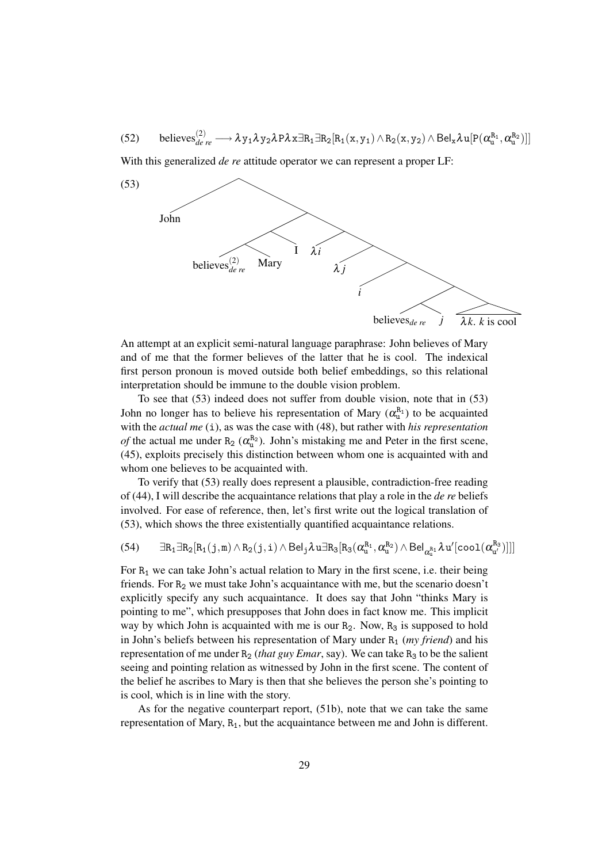$$
(52)\qquad believes_{de\,re}^{(2)}\longrightarrow\lambda y_1\lambda y_2\lambda P\lambda x\exists R_1\exists R_2[R_1(x,y_1)\wedge R_2(x,y_2)\wedge Bel_x\lambda u[P(\alpha_u^{R_1},\alpha_u^{R_2})]]
$$

With this generalized *de re* attitude operator we can represent a proper LF:



An attempt at an explicit semi-natural language paraphrase: John believes of Mary and of me that the former believes of the latter that he is cool. The indexical first person pronoun is moved outside both belief embeddings, so this relational interpretation should be immune to the double vision problem.

To see that (53) indeed does not suffer from double vision, note that in (53) John no longer has to believe his representation of Mary  $(\alpha_u^{\{R_1\}})$  to be acquainted with the *actual me* (i), as was the case with (48), but rather with *his representation of* the actual me under  $R_2$  ( $\alpha_u^{R_2}$ ). John's mistaking me and Peter in the first scene, (45), exploits precisely this distinction between whom one is acquainted with and whom one believes to be acquainted with.

To verify that (53) really does represent a plausible, contradiction-free reading of (44), I will describe the acquaintance relations that play a role in the *de re* beliefs involved. For ease of reference, then, let's first write out the logical translation of (53), which shows the three existentially quantified acquaintance relations.

$$
(54) \qquad \exists R_1\exists R_2[R_1(j,m)\wedge R_2(j,i)\wedge Bel_j\lambda u\exists R_3[R_3(\alpha^{R_1}_u,\alpha^{R_2}_u)\wedge Bel_{\alpha^{R_1}_u}\lambda u'[{\sf cool}(\alpha^{R_3}_u)]]]
$$

For  $R_1$  we can take John's actual relation to Mary in the first scene, i.e. their being friends. For  $R_2$  we must take John's acquaintance with me, but the scenario doesn't explicitly specify any such acquaintance. It does say that John "thinks Mary is pointing to me", which presupposes that John does in fact know me. This implicit way by which John is acquainted with me is our  $R_2$ . Now,  $R_3$  is supposed to hold in John's beliefs between his representation of Mary under R<sub>1</sub> (*my friend*) and his representation of me under  $R_2$  (*that guy Emar*, say). We can take  $R_3$  to be the salient seeing and pointing relation as witnessed by John in the first scene. The content of the belief he ascribes to Mary is then that she believes the person she's pointing to is cool, which is in line with the story.

As for the negative counterpart report, (51b), note that we can take the same representation of Mary, R1, but the acquaintance between me and John is different.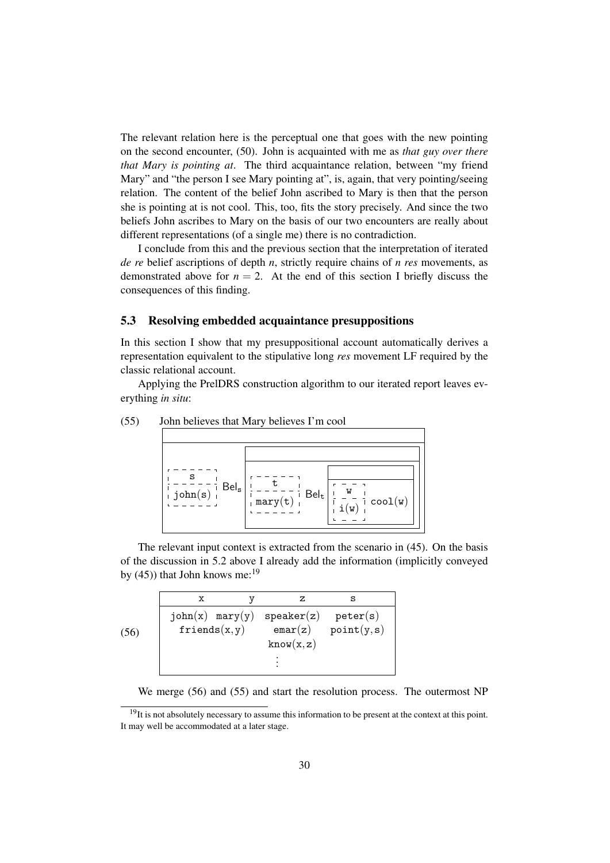The relevant relation here is the perceptual one that goes with the new pointing on the second encounter, (50). John is acquainted with me as *that guy over there that Mary is pointing at*. The third acquaintance relation, between "my friend Mary" and "the person I see Mary pointing at", is, again, that very pointing/seeing relation. The content of the belief John ascribed to Mary is then that the person she is pointing at is not cool. This, too, fits the story precisely. And since the two beliefs John ascribes to Mary on the basis of our two encounters are really about different representations (of a single me) there is no contradiction.

I conclude from this and the previous section that the interpretation of iterated *de re* belief ascriptions of depth *n*, strictly require chains of *n res* movements, as demonstrated above for  $n = 2$ . At the end of this section I briefly discuss the consequences of this finding.

#### 5.3 Resolving embedded acquaintance presuppositions

In this section I show that my presuppositional account automatically derives a representation equivalent to the stipulative long *res* movement LF required by the classic relational account.

Applying the PrelDRS construction algorithm to our iterated report leaves everything *in situ*:

| (55) | John believes that Mary believes I'm cool |
|------|-------------------------------------------|
|      |                                           |



The relevant input context is extracted from the scenario in (45). On the basis of the discussion in 5.2 above I already add the information (implicitly conveyed by (45)) that John knows me:  $19$ 

|      | $john(x)$ mary $(y)$ | $\texttt{speaker}(z)$ | peter(s)   |
|------|----------------------|-----------------------|------------|
| (56) | friends(x, y)        | emar(z)               | point(y,s) |
|      |                      | know(x, z)            |            |
|      |                      |                       |            |

We merge (56) and (55) and start the resolution process. The outermost NP

 $19$ It is not absolutely necessary to assume this information to be present at the context at this point. It may well be accommodated at a later stage.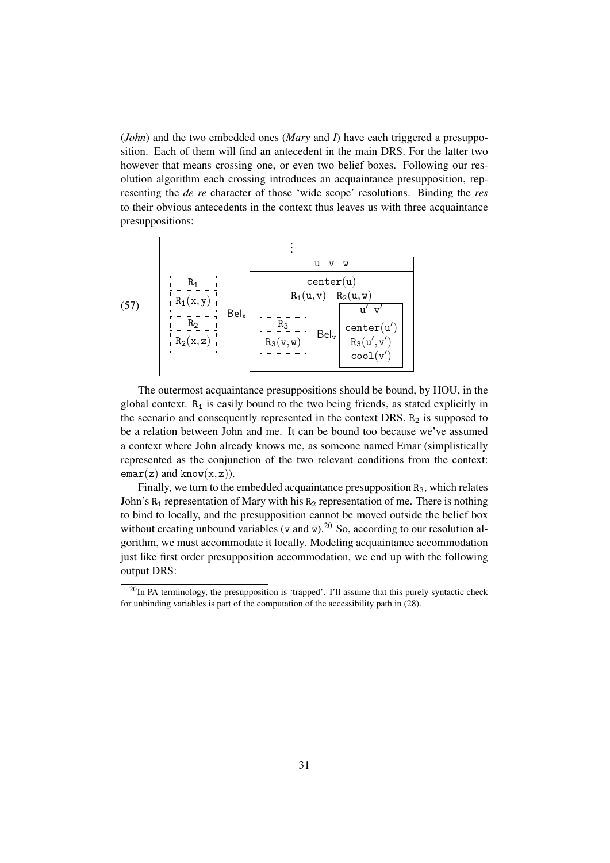(*John*) and the two embedded ones (*Mary* and *I*) have each triggered a presupposition. Each of them will find an antecedent in the main DRS. For the latter two however that means crossing one, or even two belief boxes. Following our resolution algorithm each crossing introduces an acquaintance presupposition, representing the *de re* character of those 'wide scope' resolutions. Binding the *res* to their obvious antecedents in the context thus leaves us with three acquaintance presuppositions:

(57) . . . R1 R1(x,y) R2 R2(x,z) Bel<sup>x</sup> u v w center(u) R1(u,v) R2(u,w) R3 R3(v,w) Bel<sup>v</sup> u <sup>0</sup> v 0 center(u 0 ) R3(u 0 ,v 0 ) cool(v 0 )

The outermost acquaintance presuppositions should be bound, by HOU, in the global context.  $R_1$  is easily bound to the two being friends, as stated explicitly in the scenario and consequently represented in the context DRS.  $R_2$  is supposed to be a relation between John and me. It can be bound too because we've assumed a context where John already knows me, as someone named Emar (simplistically represented as the conjunction of the two relevant conditions from the context:  $emar(z)$  and know $(x, z)$ ).

Finally, we turn to the embedded acquaintance presupposition  $R_3$ , which relates John's  $R_1$  representation of Mary with his  $R_2$  representation of me. There is nothing to bind to locally, and the presupposition cannot be moved outside the belief box without creating unbound variables (v and w).<sup>20</sup> So, according to our resolution algorithm, we must accommodate it locally. Modeling acquaintance accommodation just like first order presupposition accommodation, we end up with the following output DRS:

 $^{20}$ In PA terminology, the presupposition is 'trapped'. I'll assume that this purely syntactic check for unbinding variables is part of the computation of the accessibility path in (28).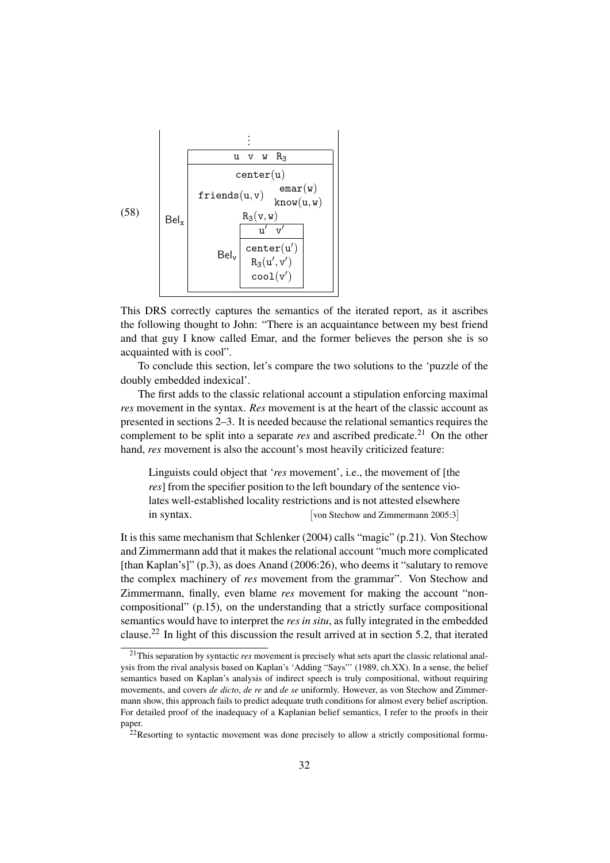

This DRS correctly captures the semantics of the iterated report, as it ascribes the following thought to John: "There is an acquaintance between my best friend and that guy I know called Emar, and the former believes the person she is so acquainted with is cool".

To conclude this section, let's compare the two solutions to the 'puzzle of the doubly embedded indexical'.

The first adds to the classic relational account a stipulation enforcing maximal *res* movement in the syntax. *Res* movement is at the heart of the classic account as presented in sections 2–3. It is needed because the relational semantics requires the complement to be split into a separate *res* and ascribed predicate.<sup>21</sup> On the other hand, *res* movement is also the account's most heavily criticized feature:

Linguists could object that '*res* movement', i.e., the movement of [the *res*] from the specifier position to the left boundary of the sentence violates well-established locality restrictions and is not attested elsewhere in syntax. von Stechow and Zimmermann 2005:3

It is this same mechanism that Schlenker (2004) calls "magic" (p.21). Von Stechow and Zimmermann add that it makes the relational account "much more complicated [than Kaplan's]" (p.3), as does Anand (2006:26), who deems it "salutary to remove the complex machinery of *res* movement from the grammar". Von Stechow and Zimmermann, finally, even blame *res* movement for making the account "noncompositional" (p.15), on the understanding that a strictly surface compositional semantics would have to interpret the *res in situ*, as fully integrated in the embedded clause.<sup>22</sup> In light of this discussion the result arrived at in section 5.2, that iterated

<sup>21</sup>This separation by syntactic *res* movement is precisely what sets apart the classic relational analysis from the rival analysis based on Kaplan's 'Adding "Says"' (1989, ch.XX). In a sense, the belief semantics based on Kaplan's analysis of indirect speech is truly compositional, without requiring movements, and covers *de dicto*, *de re* and *de se* uniformly. However, as von Stechow and Zimmermann show, this approach fails to predict adequate truth conditions for almost every belief ascription. For detailed proof of the inadequacy of a Kaplanian belief semantics, I refer to the proofs in their paper.

 $^{22}$ Resorting to syntactic movement was done precisely to allow a strictly compositional formu-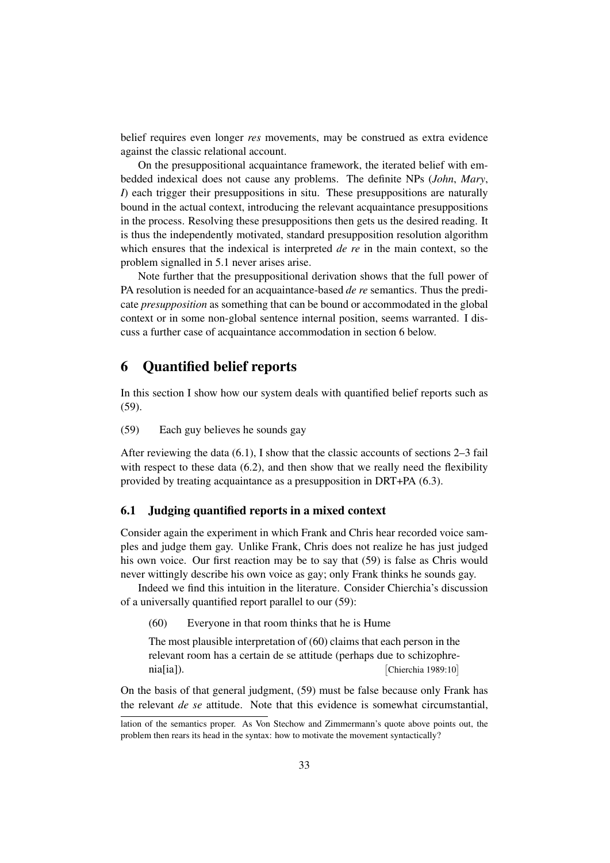belief requires even longer *res* movements, may be construed as extra evidence against the classic relational account.

On the presuppositional acquaintance framework, the iterated belief with embedded indexical does not cause any problems. The definite NPs (*John*, *Mary*, *I*) each trigger their presuppositions in situ. These presuppositions are naturally bound in the actual context, introducing the relevant acquaintance presuppositions in the process. Resolving these presuppositions then gets us the desired reading. It is thus the independently motivated, standard presupposition resolution algorithm which ensures that the indexical is interpreted *de re* in the main context, so the problem signalled in 5.1 never arises arise.

Note further that the presuppositional derivation shows that the full power of PA resolution is needed for an acquaintance-based *de re* semantics. Thus the predicate *presupposition* as something that can be bound or accommodated in the global context or in some non-global sentence internal position, seems warranted. I discuss a further case of acquaintance accommodation in section 6 below.

## 6 Quantified belief reports

In this section I show how our system deals with quantified belief reports such as (59).

(59) Each guy believes he sounds gay

After reviewing the data (6.1), I show that the classic accounts of sections 2–3 fail with respect to these data (6.2), and then show that we really need the flexibility provided by treating acquaintance as a presupposition in DRT+PA (6.3).

#### 6.1 Judging quantified reports in a mixed context

Consider again the experiment in which Frank and Chris hear recorded voice samples and judge them gay. Unlike Frank, Chris does not realize he has just judged his own voice. Our first reaction may be to say that (59) is false as Chris would never wittingly describe his own voice as gay; only Frank thinks he sounds gay.

Indeed we find this intuition in the literature. Consider Chierchia's discussion of a universally quantified report parallel to our (59):

(60) Everyone in that room thinks that he is Hume

The most plausible interpretation of (60) claims that each person in the relevant room has a certain de se attitude (perhaps due to schizophrenia[ia]). Chierchia 1989:10

On the basis of that general judgment, (59) must be false because only Frank has the relevant *de se* attitude. Note that this evidence is somewhat circumstantial,

lation of the semantics proper. As Von Stechow and Zimmermann's quote above points out, the problem then rears its head in the syntax: how to motivate the movement syntactically?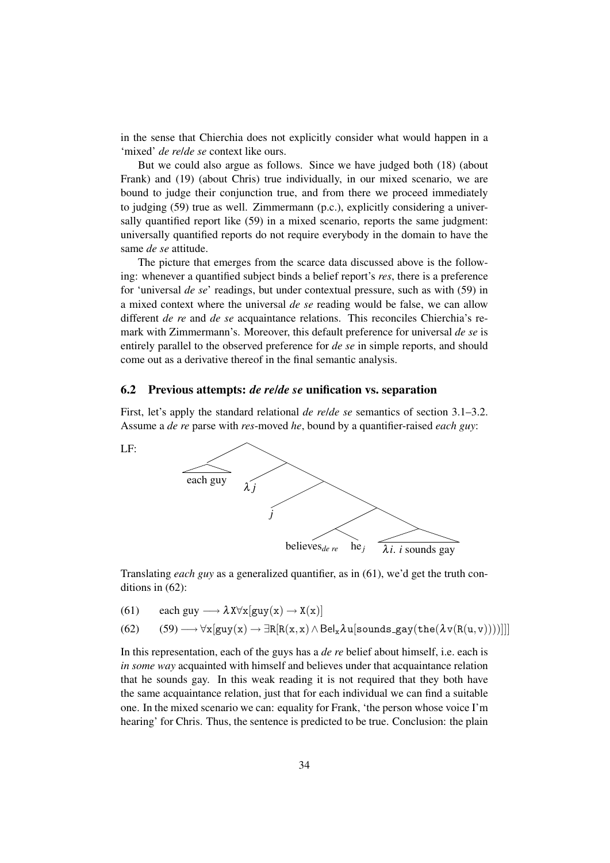in the sense that Chierchia does not explicitly consider what would happen in a 'mixed' *de re*/*de se* context like ours.

But we could also argue as follows. Since we have judged both (18) (about Frank) and (19) (about Chris) true individually, in our mixed scenario, we are bound to judge their conjunction true, and from there we proceed immediately to judging (59) true as well. Zimmermann (p.c.), explicitly considering a universally quantified report like (59) in a mixed scenario, reports the same judgment: universally quantified reports do not require everybody in the domain to have the same *de se* attitude.

The picture that emerges from the scarce data discussed above is the following: whenever a quantified subject binds a belief report's *res*, there is a preference for 'universal *de se*' readings, but under contextual pressure, such as with (59) in a mixed context where the universal *de se* reading would be false, we can allow different *de re* and *de se* acquaintance relations. This reconciles Chierchia's remark with Zimmermann's. Moreover, this default preference for universal *de se* is entirely parallel to the observed preference for *de se* in simple reports, and should come out as a derivative thereof in the final semantic analysis.

#### 6.2 Previous attempts: *de re*/*de se* unification vs. separation

First, let's apply the standard relational *de re*/*de se* semantics of section 3.1–3.2. Assume a *de re* parse with *res*-moved *he*, bound by a quantifier-raised *each guy*:



Translating *each guy* as a generalized quantifier, as in (61), we'd get the truth conditions in (62):

(61) each guy  $\longrightarrow \lambda X \forall x [guy(x) \rightarrow X(x)]$ 

LF:

$$
(62) \qquad (59) \longrightarrow \forall x [guy(x) \rightarrow \exists R [R(x,x) \land Bel_x \lambda u[\text{sounds\_gay}(\text{the}(\lambda v(R(u,v))))]]]
$$

In this representation, each of the guys has a *de re* belief about himself, i.e. each is *in some way* acquainted with himself and believes under that acquaintance relation that he sounds gay. In this weak reading it is not required that they both have the same acquaintance relation, just that for each individual we can find a suitable one. In the mixed scenario we can: equality for Frank, 'the person whose voice I'm hearing' for Chris. Thus, the sentence is predicted to be true. Conclusion: the plain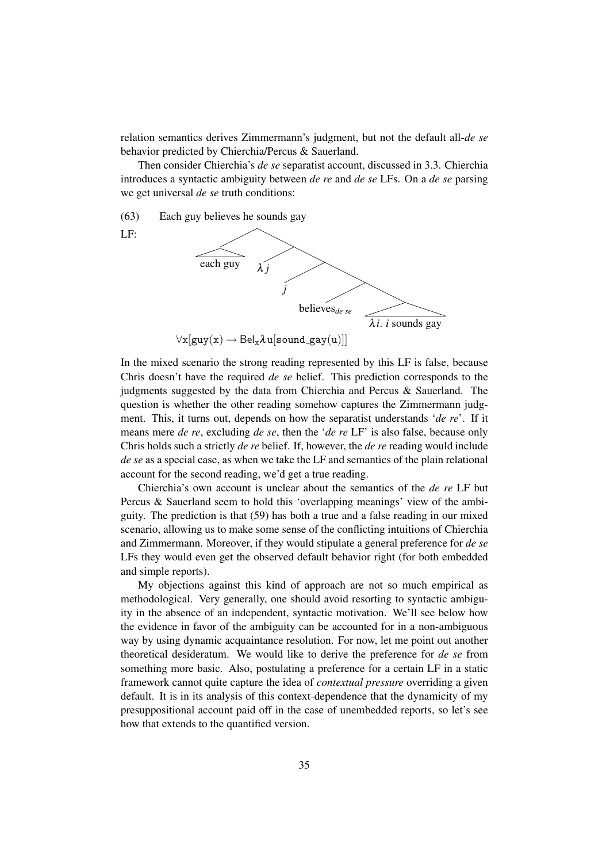relation semantics derives Zimmermann's judgment, but not the default all-*de se* behavior predicted by Chierchia/Percus & Sauerland.

Then consider Chierchia's *de se* separatist account, discussed in 3.3. Chierchia introduces a syntactic ambiguity between *de re* and *de se* LFs. On a *de se* parsing we get universal *de se* truth conditions:

(63) Each guy believes he sounds gay

LF:



In the mixed scenario the strong reading represented by this LF is false, because Chris doesn't have the required *de se* belief. This prediction corresponds to the judgments suggested by the data from Chierchia and Percus & Sauerland. The question is whether the other reading somehow captures the Zimmermann judgment. This, it turns out, depends on how the separatist understands '*de re*'. If it means mere *de re*, excluding *de se*, then the '*de re* LF' is also false, because only Chris holds such a strictly *de re* belief. If, however, the *de re* reading would include *de se* as a special case, as when we take the LF and semantics of the plain relational account for the second reading, we'd get a true reading.

Chierchia's own account is unclear about the semantics of the *de re* LF but Percus & Sauerland seem to hold this 'overlapping meanings' view of the ambiguity. The prediction is that (59) has both a true and a false reading in our mixed scenario, allowing us to make some sense of the conflicting intuitions of Chierchia and Zimmermann. Moreover, if they would stipulate a general preference for *de se* LFs they would even get the observed default behavior right (for both embedded and simple reports).

My objections against this kind of approach are not so much empirical as methodological. Very generally, one should avoid resorting to syntactic ambiguity in the absence of an independent, syntactic motivation. We'll see below how the evidence in favor of the ambiguity can be accounted for in a non-ambiguous way by using dynamic acquaintance resolution. For now, let me point out another theoretical desideratum. We would like to derive the preference for *de se* from something more basic. Also, postulating a preference for a certain LF in a static framework cannot quite capture the idea of *contextual pressure* overriding a given default. It is in its analysis of this context-dependence that the dynamicity of my presuppositional account paid off in the case of unembedded reports, so let's see how that extends to the quantified version.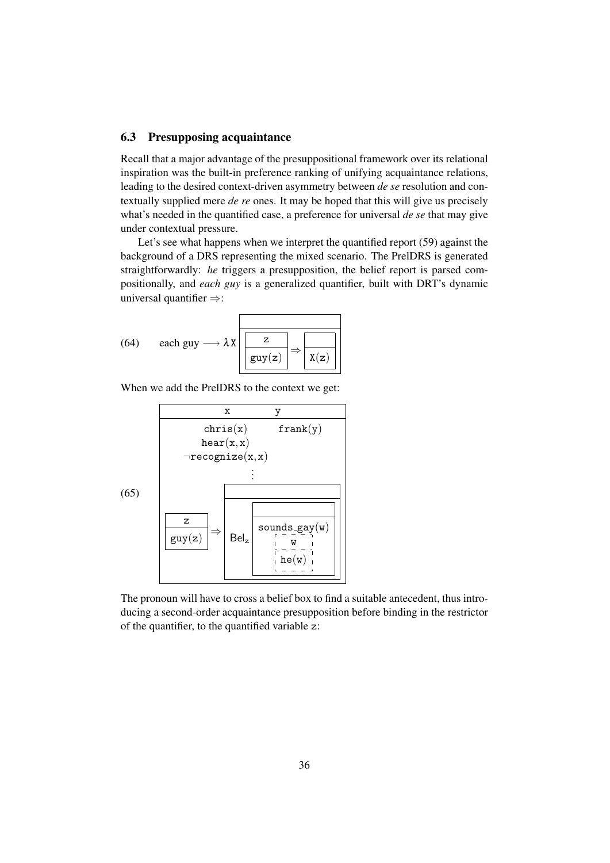#### 6.3 Presupposing acquaintance

Recall that a major advantage of the presuppositional framework over its relational inspiration was the built-in preference ranking of unifying acquaintance relations, leading to the desired context-driven asymmetry between *de se* resolution and contextually supplied mere *de re* ones. It may be hoped that this will give us precisely what's needed in the quantified case, a preference for universal *de se* that may give under contextual pressure.

Let's see what happens when we interpret the quantified report (59) against the background of a DRS representing the mixed scenario. The PrelDRS is generated straightforwardly: *he* triggers a presupposition, the belief report is parsed compositionally, and *each guy* is a generalized quantifier, built with DRT's dynamic universal quantifier ⇒:



When we add the PrelDRS to the context we get:



The pronoun will have to cross a belief box to find a suitable antecedent, thus introducing a second-order acquaintance presupposition before binding in the restrictor of the quantifier, to the quantified variable z: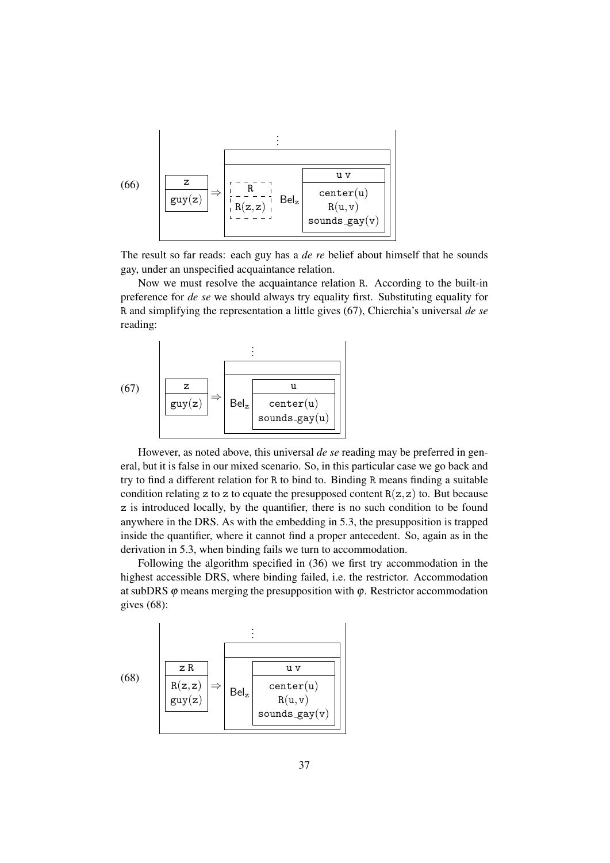

The result so far reads: each guy has a *de re* belief about himself that he sounds gay, under an unspecified acquaintance relation.

Now we must resolve the acquaintance relation R. According to the built-in preference for *de se* we should always try equality first. Substituting equality for R and simplifying the representation a little gives (67), Chierchia's universal *de se* reading:



However, as noted above, this universal *de se* reading may be preferred in general, but it is false in our mixed scenario. So, in this particular case we go back and try to find a different relation for R to bind to. Binding R means finding a suitable condition relating z to z to equate the presupposed content  $R(z, z)$  to. But because z is introduced locally, by the quantifier, there is no such condition to be found anywhere in the DRS. As with the embedding in 5.3, the presupposition is trapped inside the quantifier, where it cannot find a proper antecedent. So, again as in the derivation in 5.3, when binding fails we turn to accommodation.

Following the algorithm specified in (36) we first try accommodation in the highest accessible DRS, where binding failed, i.e. the restrictor. Accommodation at subDRS  $\varphi$  means merging the presupposition with  $\varphi$ . Restrictor accommodation gives (68):

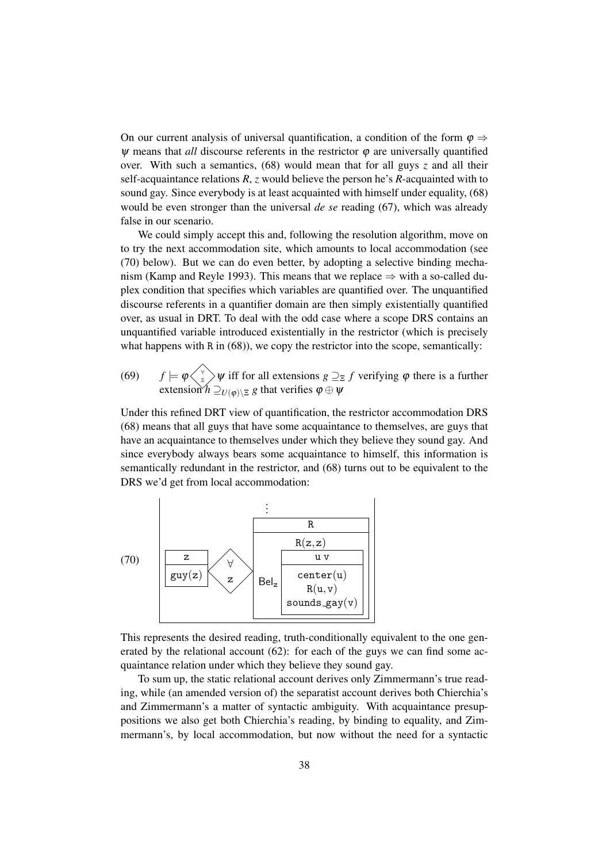On our current analysis of universal quantification, a condition of the form  $\varphi \Rightarrow$  $\psi$  means that *all* discourse referents in the restrictor  $\varphi$  are universally quantified over. With such a semantics, (68) would mean that for all guys *z* and all their self-acquaintance relations *R*, *z* would believe the person he's *R*-acquainted with to sound gay. Since everybody is at least acquainted with himself under equality, (68) would be even stronger than the universal *de se* reading (67), which was already false in our scenario.

We could simply accept this and, following the resolution algorithm, move on to try the next accommodation site, which amounts to local accommodation (see (70) below). But we can do even better, by adopting a selective binding mechanism (Kamp and Reyle 1993). This means that we replace  $\Rightarrow$  with a so-called duplex condition that specifies which variables are quantified over. The unquantified discourse referents in a quantifier domain are then simply existentially quantified over, as usual in DRT. To deal with the odd case where a scope DRS contains an unquantified variable introduced existentially in the restrictor (which is precisely what happens with R in (68)), we copy the restrictor into the scope, semantically:

(69)  $f \models \varphi \left\langle \frac{\forall}{\epsilon} \right\rangle \psi$  iff for all extensions  $g \supseteq_{\epsilon} f$  verifying  $\varphi$  there is a further extension  $h \supseteq_{U(\varphi)\setminus \Xi} g$  that verifies  $\varphi \oplus \psi$ 

Under this refined DRT view of quantification, the restrictor accommodation DRS (68) means that all guys that have some acquaintance to themselves, are guys that have an acquaintance to themselves under which they believe they sound gay. And since everybody always bears some acquaintance to himself, this information is semantically redundant in the restrictor, and (68) turns out to be equivalent to the DRS we'd get from local accommodation:



This represents the desired reading, truth-conditionally equivalent to the one generated by the relational account (62): for each of the guys we can find some acquaintance relation under which they believe they sound gay.

To sum up, the static relational account derives only Zimmermann's true reading, while (an amended version of) the separatist account derives both Chierchia's and Zimmermann's a matter of syntactic ambiguity. With acquaintance presuppositions we also get both Chierchia's reading, by binding to equality, and Zimmermann's, by local accommodation, but now without the need for a syntactic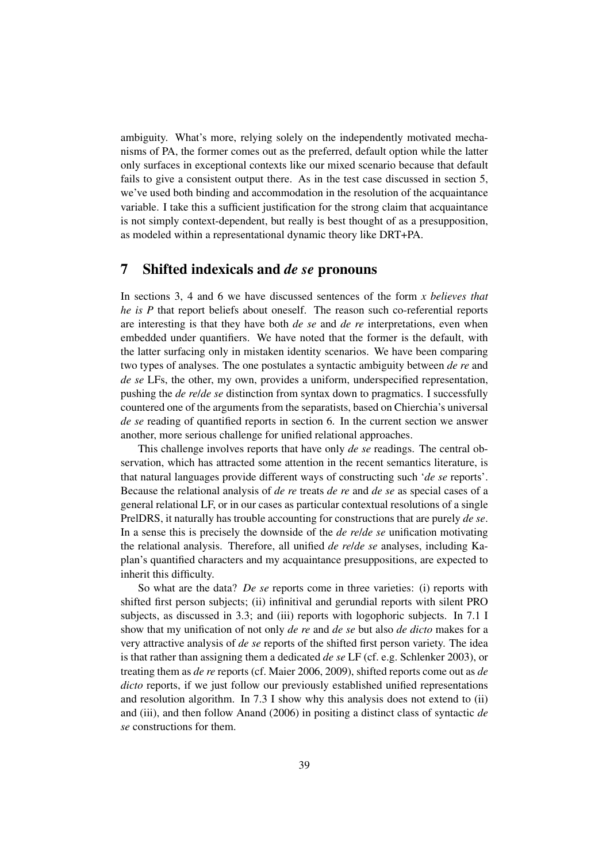ambiguity. What's more, relying solely on the independently motivated mechanisms of PA, the former comes out as the preferred, default option while the latter only surfaces in exceptional contexts like our mixed scenario because that default fails to give a consistent output there. As in the test case discussed in section 5, we've used both binding and accommodation in the resolution of the acquaintance variable. I take this a sufficient justification for the strong claim that acquaintance is not simply context-dependent, but really is best thought of as a presupposition, as modeled within a representational dynamic theory like DRT+PA.

## 7 Shifted indexicals and *de se* pronouns

In sections 3, 4 and 6 we have discussed sentences of the form *x believes that he is P* that report beliefs about oneself. The reason such co-referential reports are interesting is that they have both *de se* and *de re* interpretations, even when embedded under quantifiers. We have noted that the former is the default, with the latter surfacing only in mistaken identity scenarios. We have been comparing two types of analyses. The one postulates a syntactic ambiguity between *de re* and *de se* LFs, the other, my own, provides a uniform, underspecified representation, pushing the *de re*/*de se* distinction from syntax down to pragmatics. I successfully countered one of the arguments from the separatists, based on Chierchia's universal *de se* reading of quantified reports in section 6. In the current section we answer another, more serious challenge for unified relational approaches.

This challenge involves reports that have only *de se* readings. The central observation, which has attracted some attention in the recent semantics literature, is that natural languages provide different ways of constructing such '*de se* reports'. Because the relational analysis of *de re* treats *de re* and *de se* as special cases of a general relational LF, or in our cases as particular contextual resolutions of a single PrelDRS, it naturally has trouble accounting for constructions that are purely *de se*. In a sense this is precisely the downside of the *de re*/*de se* unification motivating the relational analysis. Therefore, all unified *de re*/*de se* analyses, including Kaplan's quantified characters and my acquaintance presuppositions, are expected to inherit this difficulty.

So what are the data? *De se* reports come in three varieties: (i) reports with shifted first person subjects; (ii) infinitival and gerundial reports with silent PRO subjects, as discussed in 3.3; and (iii) reports with logophoric subjects. In 7.1 I show that my unification of not only *de re* and *de se* but also *de dicto* makes for a very attractive analysis of *de se* reports of the shifted first person variety. The idea is that rather than assigning them a dedicated *de se* LF (cf. e.g. Schlenker 2003), or treating them as *de re* reports (cf. Maier 2006, 2009), shifted reports come out as *de dicto* reports, if we just follow our previously established unified representations and resolution algorithm. In 7.3 I show why this analysis does not extend to (ii) and (iii), and then follow Anand (2006) in positing a distinct class of syntactic *de se* constructions for them.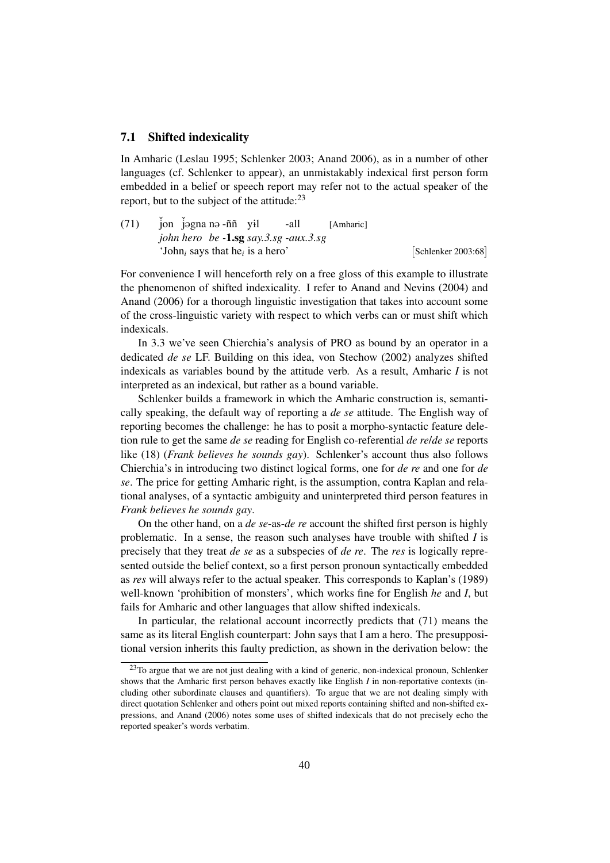#### 7.1 Shifted indexicality

In Amharic (Leslau 1995; Schlenker 2003; Anand 2006), as in a number of other languages (cf. Schlenker to appear), an unmistakably indexical first person form embedded in a belief or speech report may refer not to the actual speaker of the report, but to the subject of the attitude: $^{23}$ 

| $(71)$ jon jagna na -ññ yil -all                        | [Amharic] |                     |
|---------------------------------------------------------|-----------|---------------------|
| john hero be $-1$ .sg say.3.sg $-aux.3.sg$              |           |                     |
| 'John <sub>i</sub> says that he <sub>i</sub> is a hero' |           | [Schlenker 2003:68] |

For convenience I will henceforth rely on a free gloss of this example to illustrate the phenomenon of shifted indexicality. I refer to Anand and Nevins (2004) and Anand (2006) for a thorough linguistic investigation that takes into account some of the cross-linguistic variety with respect to which verbs can or must shift which indexicals.

In 3.3 we've seen Chierchia's analysis of PRO as bound by an operator in a dedicated *de se* LF. Building on this idea, von Stechow (2002) analyzes shifted indexicals as variables bound by the attitude verb. As a result, Amharic *I* is not interpreted as an indexical, but rather as a bound variable.

Schlenker builds a framework in which the Amharic construction is, semantically speaking, the default way of reporting a *de se* attitude. The English way of reporting becomes the challenge: he has to posit a morpho-syntactic feature deletion rule to get the same *de se* reading for English co-referential *de re*/*de se* reports like (18) (*Frank believes he sounds gay*). Schlenker's account thus also follows Chierchia's in introducing two distinct logical forms, one for *de re* and one for *de se*. The price for getting Amharic right, is the assumption, contra Kaplan and relational analyses, of a syntactic ambiguity and uninterpreted third person features in *Frank believes he sounds gay*.

On the other hand, on a *de se*-as-*de re* account the shifted first person is highly problematic. In a sense, the reason such analyses have trouble with shifted *I* is precisely that they treat *de se* as a subspecies of *de re*. The *res* is logically represented outside the belief context, so a first person pronoun syntactically embedded as *res* will always refer to the actual speaker. This corresponds to Kaplan's (1989) well-known 'prohibition of monsters', which works fine for English *he* and *I*, but fails for Amharic and other languages that allow shifted indexicals.

In particular, the relational account incorrectly predicts that (71) means the same as its literal English counterpart: John says that I am a hero. The presuppositional version inherits this faulty prediction, as shown in the derivation below: the

 $23$ To argue that we are not just dealing with a kind of generic, non-indexical pronoun, Schlenker shows that the Amharic first person behaves exactly like English *I* in non-reportative contexts (including other subordinate clauses and quantifiers). To argue that we are not dealing simply with direct quotation Schlenker and others point out mixed reports containing shifted and non-shifted expressions, and Anand (2006) notes some uses of shifted indexicals that do not precisely echo the reported speaker's words verbatim.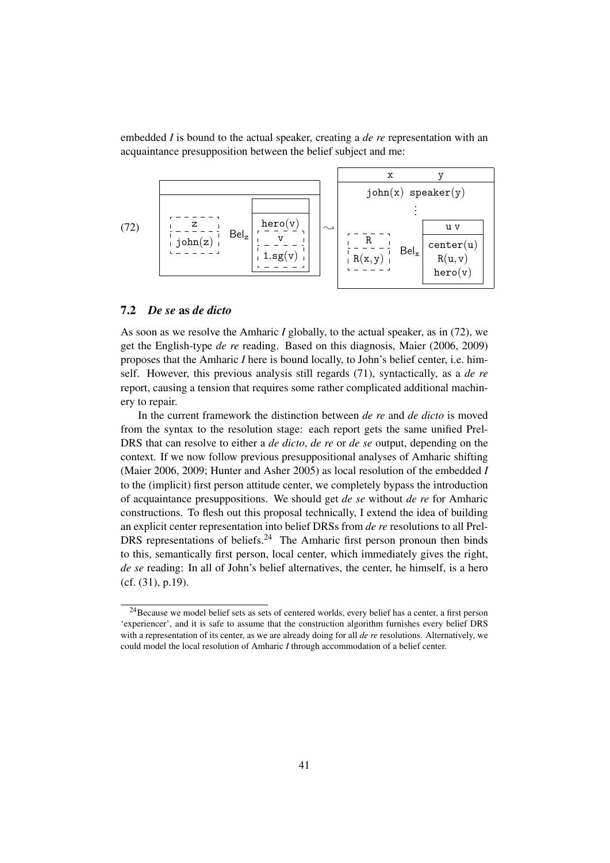embedded *I* is bound to the actual speaker, creating a *de re* representation with an acquaintance presupposition between the belief subject and me:



#### 7.2 *De se* as *de dicto*

As soon as we resolve the Amharic *I* globally, to the actual speaker, as in (72), we get the English-type *de re* reading. Based on this diagnosis, Maier (2006, 2009) proposes that the Amharic *I* here is bound locally, to John's belief center, i.e. himself. However, this previous analysis still regards (71), syntactically, as a *de re* report, causing a tension that requires some rather complicated additional machinery to repair.

In the current framework the distinction between *de re* and *de dicto* is moved from the syntax to the resolution stage: each report gets the same unified Prel-DRS that can resolve to either a *de dicto*, *de re* or *de se* output, depending on the context. If we now follow previous presuppositional analyses of Amharic shifting (Maier 2006, 2009; Hunter and Asher 2005) as local resolution of the embedded *I* to the (implicit) first person attitude center, we completely bypass the introduction of acquaintance presuppositions. We should get *de se* without *de re* for Amharic constructions. To flesh out this proposal technically, I extend the idea of building an explicit center representation into belief DRSs from *de re* resolutions to all Prel-DRS representations of beliefs.<sup>24</sup> The Amharic first person pronoun then binds to this, semantically first person, local center, which immediately gives the right, *de se* reading: In all of John's belief alternatives, the center, he himself, is a hero (cf. (31), p.19).

<sup>&</sup>lt;sup>24</sup>Because we model belief sets as sets of centered worlds, every belief has a center, a first person 'experiencer', and it is safe to assume that the construction algorithm furnishes every belief DRS with a representation of its center, as we are already doing for all *de re* resolutions. Alternatively, we could model the local resolution of Amharic *I* through accommodation of a belief center.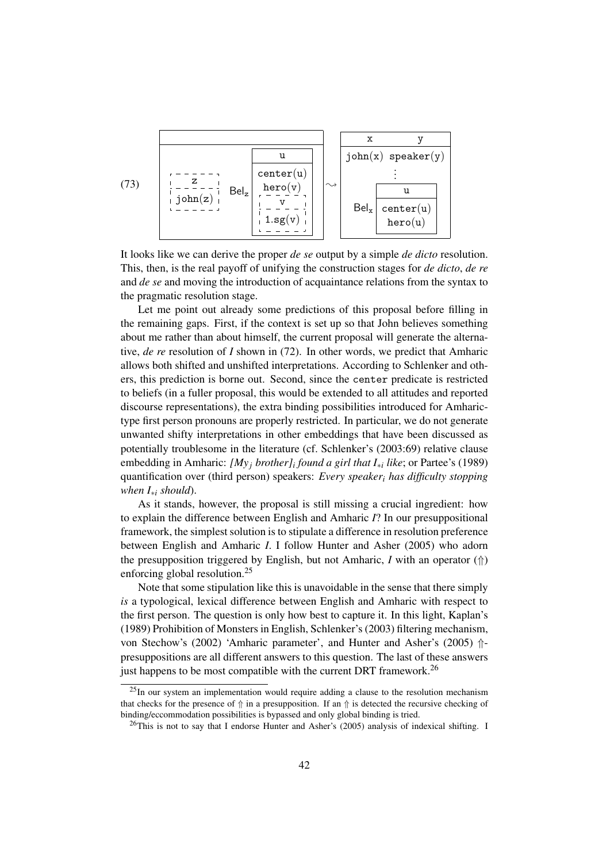

It looks like we can derive the proper *de se* output by a simple *de dicto* resolution. This, then, is the real payoff of unifying the construction stages for *de dicto*, *de re* and *de se* and moving the introduction of acquaintance relations from the syntax to the pragmatic resolution stage.

Let me point out already some predictions of this proposal before filling in the remaining gaps. First, if the context is set up so that John believes something about me rather than about himself, the current proposal will generate the alternative, *de re* resolution of *I* shown in (72). In other words, we predict that Amharic allows both shifted and unshifted interpretations. According to Schlenker and others, this prediction is borne out. Second, since the center predicate is restricted to beliefs (in a fuller proposal, this would be extended to all attitudes and reported discourse representations), the extra binding possibilities introduced for Amharictype first person pronouns are properly restricted. In particular, we do not generate unwanted shifty interpretations in other embeddings that have been discussed as potentially troublesome in the literature (cf. Schlenker's (2003:69) relative clause embedding in Amharic: *[My<sup>j</sup> brother]<sup>i</sup> found a girl that I*∗*<sup>i</sup> like*; or Partee's (1989) quantification over (third person) speakers: *Every speaker<sup>i</sup> has difficulty stopping when*  $I<sub>∗i</sub>$  *should*).

As it stands, however, the proposal is still missing a crucial ingredient: how to explain the difference between English and Amharic *I*? In our presuppositional framework, the simplest solution is to stipulate a difference in resolution preference between English and Amharic *I*. I follow Hunter and Asher (2005) who adorn the presupposition triggered by English, but not Amharic,  $I$  with an operator  $(\Uparrow)$ enforcing global resolution.<sup>25</sup>

Note that some stipulation like this is unavoidable in the sense that there simply *is* a typological, lexical difference between English and Amharic with respect to the first person. The question is only how best to capture it. In this light, Kaplan's (1989) Prohibition of Monsters in English, Schlenker's (2003) filtering mechanism, von Stechow's (2002) 'Amharic parameter', and Hunter and Asher's (2005)  $\Uparrow$ presuppositions are all different answers to this question. The last of these answers just happens to be most compatible with the current DRT framework.<sup>26</sup>

<sup>25</sup>In our system an implementation would require adding a clause to the resolution mechanism that checks for the presence of  $\Uparrow$  in a presupposition. If an  $\Uparrow$  is detected the recursive checking of binding/eccommodation possibilities is bypassed and only global binding is tried.

<sup>&</sup>lt;sup>26</sup>This is not to say that I endorse Hunter and Asher's (2005) analysis of indexical shifting. I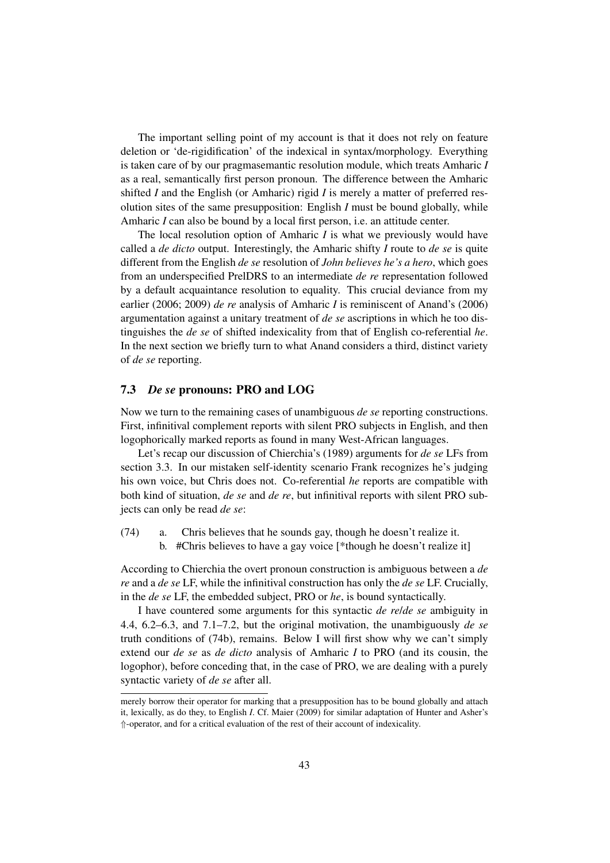The important selling point of my account is that it does not rely on feature deletion or 'de-rigidification' of the indexical in syntax/morphology. Everything is taken care of by our pragmasemantic resolution module, which treats Amharic *I* as a real, semantically first person pronoun. The difference between the Amharic shifted *I* and the English (or Amharic) rigid *I* is merely a matter of preferred resolution sites of the same presupposition: English *I* must be bound globally, while Amharic *I* can also be bound by a local first person, i.e. an attitude center.

The local resolution option of Amharic *I* is what we previously would have called a *de dicto* output. Interestingly, the Amharic shifty *I* route to *de se* is quite different from the English *de se* resolution of *John believes he's a hero*, which goes from an underspecified PrelDRS to an intermediate *de re* representation followed by a default acquaintance resolution to equality. This crucial deviance from my earlier (2006; 2009) *de re* analysis of Amharic *I* is reminiscent of Anand's (2006) argumentation against a unitary treatment of *de se* ascriptions in which he too distinguishes the *de se* of shifted indexicality from that of English co-referential *he*. In the next section we briefly turn to what Anand considers a third, distinct variety of *de se* reporting.

### 7.3 *De se* pronouns: PRO and LOG

Now we turn to the remaining cases of unambiguous *de se* reporting constructions. First, infinitival complement reports with silent PRO subjects in English, and then logophorically marked reports as found in many West-African languages.

Let's recap our discussion of Chierchia's (1989) arguments for *de se* LFs from section 3.3. In our mistaken self-identity scenario Frank recognizes he's judging his own voice, but Chris does not. Co-referential *he* reports are compatible with both kind of situation, *de se* and *de re*, but infinitival reports with silent PRO subjects can only be read *de se*:

(74) a. Chris believes that he sounds gay, though he doesn't realize it.

b. #Chris believes to have a gay voice [\*though he doesn't realize it]

According to Chierchia the overt pronoun construction is ambiguous between a *de re* and a *de se* LF, while the infinitival construction has only the *de se* LF. Crucially, in the *de se* LF, the embedded subject, PRO or *he*, is bound syntactically.

I have countered some arguments for this syntactic *de re*/*de se* ambiguity in 4.4, 6.2–6.3, and 7.1–7.2, but the original motivation, the unambiguously *de se* truth conditions of (74b), remains. Below I will first show why we can't simply extend our *de se* as *de dicto* analysis of Amharic *I* to PRO (and its cousin, the logophor), before conceding that, in the case of PRO, we are dealing with a purely syntactic variety of *de se* after all.

merely borrow their operator for marking that a presupposition has to be bound globally and attach it, lexically, as do they, to English *I*. Cf. Maier (2009) for similar adaptation of Hunter and Asher's ⇑-operator, and for a critical evaluation of the rest of their account of indexicality.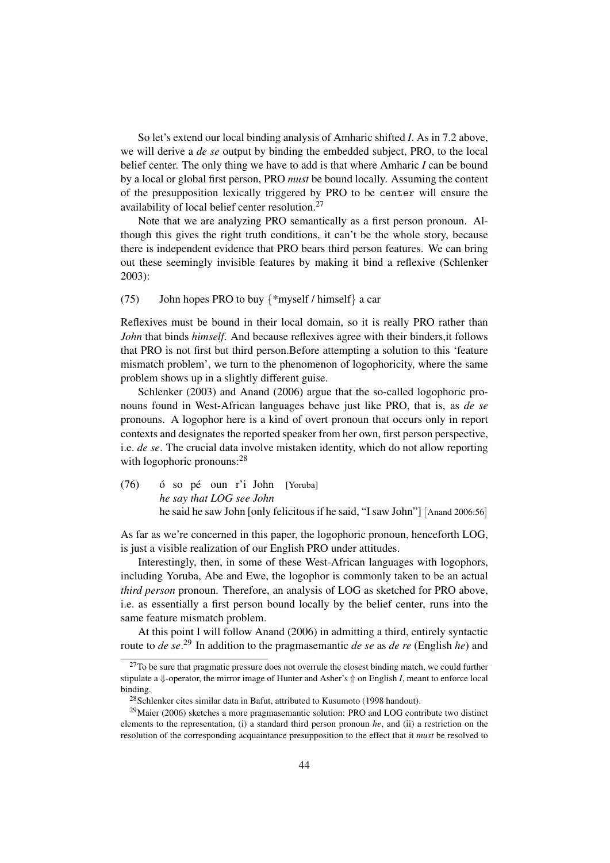So let's extend our local binding analysis of Amharic shifted *I*. As in 7.2 above, we will derive a *de se* output by binding the embedded subject, PRO, to the local belief center. The only thing we have to add is that where Amharic *I* can be bound by a local or global first person, PRO *must* be bound locally. Assuming the content of the presupposition lexically triggered by PRO to be center will ensure the availability of local belief center resolution.<sup>27</sup>

Note that we are analyzing PRO semantically as a first person pronoun. Although this gives the right truth conditions, it can't be the whole story, because there is independent evidence that PRO bears third person features. We can bring out these seemingly invisible features by making it bind a reflexive (Schlenker 2003):

(75) John hopes PRO to buy  $\{\text{*myself / himself}\}$  a car

Reflexives must be bound in their local domain, so it is really PRO rather than *John* that binds *himself*. And because reflexives agree with their binders,it follows that PRO is not first but third person.Before attempting a solution to this 'feature mismatch problem', we turn to the phenomenon of logophoricity, where the same problem shows up in a slightly different guise.

Schlenker (2003) and Anand (2006) argue that the so-called logophoric pronouns found in West-African languages behave just like PRO, that is, as *de se* pronouns. A logophor here is a kind of overt pronoun that occurs only in report contexts and designates the reported speaker from her own, first person perspective, i.e. *de se*. The crucial data involve mistaken identity, which do not allow reporting with logophoric pronouns:<sup>28</sup>

 $(76)$ *he say that LOG see John* so pe´ oun r'i John [Yoruba] he said he saw John [only felicitous if he said, "I saw John"] [Anand 2006:56]

As far as we're concerned in this paper, the logophoric pronoun, henceforth LOG, is just a visible realization of our English PRO under attitudes.

Interestingly, then, in some of these West-African languages with logophors, including Yoruba, Abe and Ewe, the logophor is commonly taken to be an actual *third person* pronoun. Therefore, an analysis of LOG as sketched for PRO above, i.e. as essentially a first person bound locally by the belief center, runs into the same feature mismatch problem.

At this point I will follow Anand (2006) in admitting a third, entirely syntactic route to *de se*. <sup>29</sup> In addition to the pragmasemantic *de se* as *de re* (English *he*) and

<sup>&</sup>lt;sup>27</sup>To be sure that pragmatic pressure does not overrule the closest binding match, we could further stipulate a ⇓-operator, the mirror image of Hunter and Asher's ⇑ on English *I*, meant to enforce local binding.

<sup>&</sup>lt;sup>28</sup>Schlenker cites similar data in Bafut, attributed to Kusumoto (1998 handout).

<sup>29</sup>Maier (2006) sketches a more pragmasemantic solution: PRO and LOG contribute two distinct elements to the representation, (i) a standard third person pronoun *he*, and (ii) a restriction on the resolution of the corresponding acquaintance presupposition to the effect that it *must* be resolved to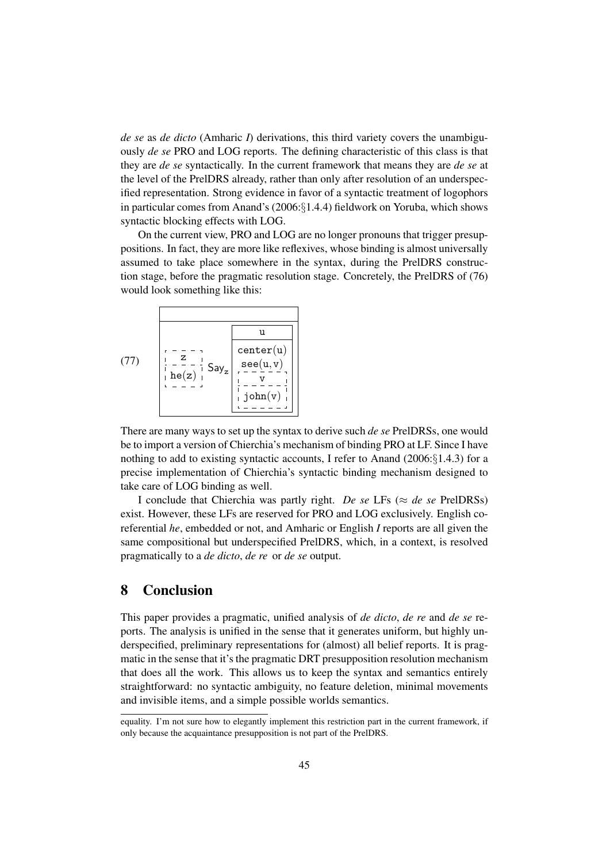*de se* as *de dicto* (Amharic *I*) derivations, this third variety covers the unambiguously *de se* PRO and LOG reports. The defining characteristic of this class is that they are *de se* syntactically. In the current framework that means they are *de se* at the level of the PrelDRS already, rather than only after resolution of an underspecified representation. Strong evidence in favor of a syntactic treatment of logophors in particular comes from Anand's (2006:§1.4.4) fieldwork on Yoruba, which shows syntactic blocking effects with LOG.

On the current view, PRO and LOG are no longer pronouns that trigger presuppositions. In fact, they are more like reflexives, whose binding is almost universally assumed to take place somewhere in the syntax, during the PrelDRS construction stage, before the pragmatic resolution stage. Concretely, the PrelDRS of (76) would look something like this:

(77) 
$$
\begin{array}{|c|c|}\n & u \\
\hline\n1 & -2 & -1 \\
\hline\n1 & -2 & -1 \\
\hline\n1 & -2 & -1 \\
\hline\n1 & -2 & -1 \\
\hline\n1 & -2 & -1 \\
\hline\n1 & -2 & -1 \\
\hline\n1 & -2 & -1 \\
\hline\n1 & -2 & -1 \\
\hline\n1 & -2 & -1 \\
\hline\n1 & -2 & -1 \\
\hline\n1 & -2 & -1 \\
\hline\n1 & -2 & -1 \\
\hline\n1 & -2 & -1 \\
\hline\n1 & -2 & -1 \\
\hline\n1 & -2 & -1 \\
\hline\n1 & -2 & -1 \\
\hline\n1 & -2 & -1 \\
\hline\n1 & -2 & -1 \\
\hline\n1 & -2 & -1 \\
\hline\n1 & -2 & -1 \\
\hline\n1 & -2 & -1 \\
\hline\n1 & -2 & -1 \\
\hline\n1 & -2 & -1 \\
\hline\n1 & -2 & -1 \\
\hline\n1 & -2 & -1 \\
\hline\n1 & -2 & -1 \\
\hline\n1 & -2 & -1 \\
\hline\n1 & -2 & -1 \\
\hline\n1 & -2 & -1 \\
\hline\n1 & -2 & -1 \\
\hline\n1 & -2 & -1 \\
\hline\n1 & -2 & -1 \\
\hline\n1 & -2 & -1 \\
\hline\n1 & -2 & -1 \\
\hline\n1 & -2 & -1 \\
\hline\n1 & -2 & -1 \\
\hline\n1 & -2 & -1 \\
\hline\n1 & -2 & -1 \\
\hline\n1 & -2 & -1 \\
\hline\n1 & -2 & -1 \\
\hline\n1 & -2 & -1 \\
\hline\n1 & -2 & -1 \\
\hline\n1 & -2 & -1 \\
\hline\n1 & -2 & -1 \\
\hline\n1 & -2 & -1 \\
\hline\n1 & -2 & -1 \\
\hline\n1 & -2 & -1 \\
\hline\n1 & -2 & -1 \\
\hline\n1 & -2 & -1 \\
\hline\n1 & -2 & -1 \\
\hline\n1 & -2 & -1 \\
\hline\n1 & -2 & -1 \\
\hline\n1 & -2 & -1 \\
\hline\n1 & -2 & -1 \\
\hline\n1 & -2 & -1 \\
\hline\n1 & -2 & -1 \\
\hline\n1 & -2 & -1 \\
\hline\n1 & -2 & -1 \\
\hline\n1 & -2 & -1 \\
\hline\n1 & -2 & -1 \\
\hline\n1 & -2 & -1 \\
\hline\n1 & -2 &
$$

There are many ways to set up the syntax to derive such *de se* PrelDRSs, one would be to import a version of Chierchia's mechanism of binding PRO at LF. Since I have nothing to add to existing syntactic accounts, I refer to Anand (2006:§1.4.3) for a precise implementation of Chierchia's syntactic binding mechanism designed to take care of LOG binding as well.

I conclude that Chierchia was partly right. *De se* LFs ( $\approx$  *de se* PrelDRSs) exist. However, these LFs are reserved for PRO and LOG exclusively. English coreferential *he*, embedded or not, and Amharic or English *I* reports are all given the same compositional but underspecified PrelDRS, which, in a context, is resolved pragmatically to a *de dicto*, *de re* or *de se* output.

## 8 Conclusion

This paper provides a pragmatic, unified analysis of *de dicto*, *de re* and *de se* reports. The analysis is unified in the sense that it generates uniform, but highly underspecified, preliminary representations for (almost) all belief reports. It is pragmatic in the sense that it's the pragmatic DRT presupposition resolution mechanism that does all the work. This allows us to keep the syntax and semantics entirely straightforward: no syntactic ambiguity, no feature deletion, minimal movements and invisible items, and a simple possible worlds semantics.

equality. I'm not sure how to elegantly implement this restriction part in the current framework, if only because the acquaintance presupposition is not part of the PrelDRS.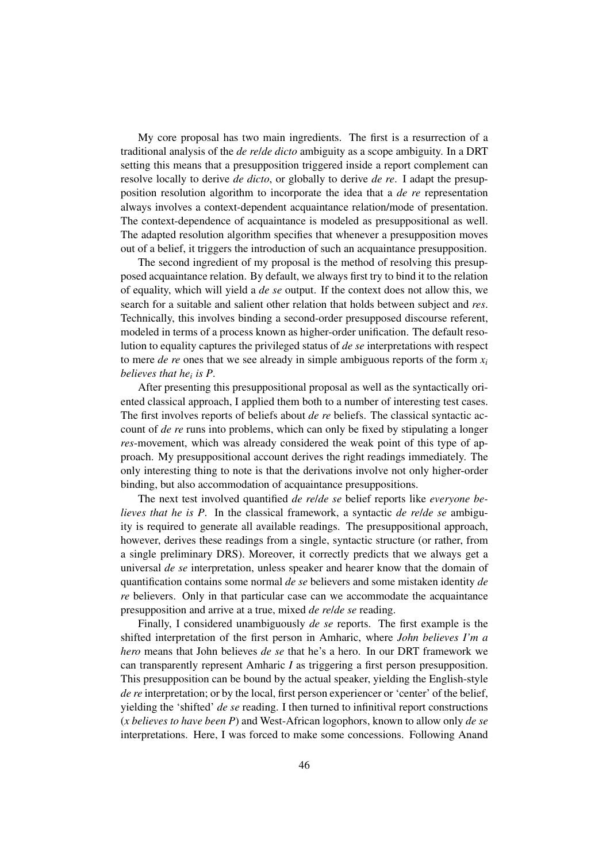My core proposal has two main ingredients. The first is a resurrection of a traditional analysis of the *de re*/*de dicto* ambiguity as a scope ambiguity. In a DRT setting this means that a presupposition triggered inside a report complement can resolve locally to derive *de dicto*, or globally to derive *de re*. I adapt the presupposition resolution algorithm to incorporate the idea that a *de re* representation always involves a context-dependent acquaintance relation/mode of presentation. The context-dependence of acquaintance is modeled as presuppositional as well. The adapted resolution algorithm specifies that whenever a presupposition moves out of a belief, it triggers the introduction of such an acquaintance presupposition.

The second ingredient of my proposal is the method of resolving this presupposed acquaintance relation. By default, we always first try to bind it to the relation of equality, which will yield a *de se* output. If the context does not allow this, we search for a suitable and salient other relation that holds between subject and *res*. Technically, this involves binding a second-order presupposed discourse referent, modeled in terms of a process known as higher-order unification. The default resolution to equality captures the privileged status of *de se* interpretations with respect to mere *de re* ones that we see already in simple ambiguous reports of the form  $x_i$ *believes that he<sup>i</sup> is P*.

After presenting this presuppositional proposal as well as the syntactically oriented classical approach, I applied them both to a number of interesting test cases. The first involves reports of beliefs about *de re* beliefs. The classical syntactic account of *de re* runs into problems, which can only be fixed by stipulating a longer *res*-movement, which was already considered the weak point of this type of approach. My presuppositional account derives the right readings immediately. The only interesting thing to note is that the derivations involve not only higher-order binding, but also accommodation of acquaintance presuppositions.

The next test involved quantified *de re*/*de se* belief reports like *everyone believes that he is P*. In the classical framework, a syntactic *de re*/*de se* ambiguity is required to generate all available readings. The presuppositional approach, however, derives these readings from a single, syntactic structure (or rather, from a single preliminary DRS). Moreover, it correctly predicts that we always get a universal *de se* interpretation, unless speaker and hearer know that the domain of quantification contains some normal *de se* believers and some mistaken identity *de re* believers. Only in that particular case can we accommodate the acquaintance presupposition and arrive at a true, mixed *de re*/*de se* reading.

Finally, I considered unambiguously *de se* reports. The first example is the shifted interpretation of the first person in Amharic, where *John believes I'm a hero* means that John believes *de se* that he's a hero. In our DRT framework we can transparently represent Amharic *I* as triggering a first person presupposition. This presupposition can be bound by the actual speaker, yielding the English-style *de re* interpretation; or by the local, first person experiencer or 'center' of the belief, yielding the 'shifted' *de se* reading. I then turned to infinitival report constructions (*x believes to have been P*) and West-African logophors, known to allow only *de se* interpretations. Here, I was forced to make some concessions. Following Anand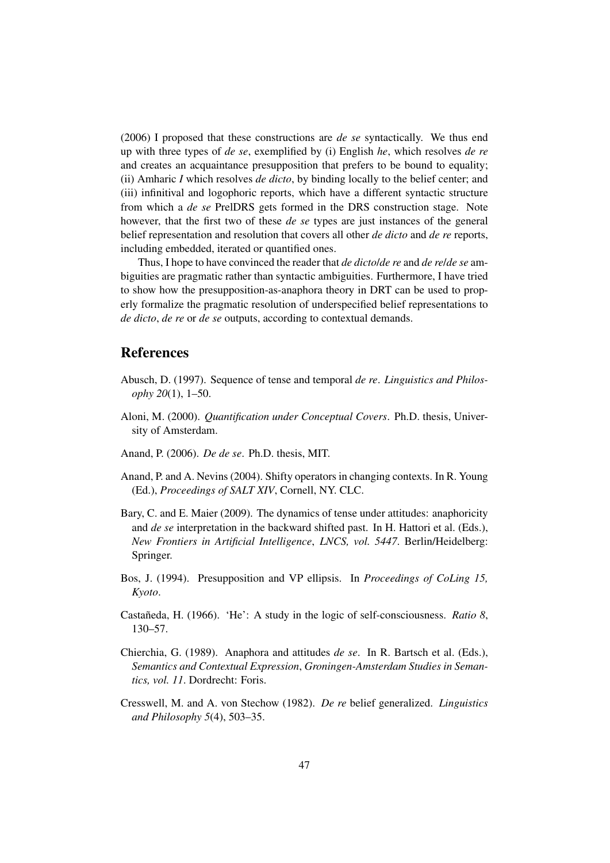(2006) I proposed that these constructions are *de se* syntactically. We thus end up with three types of *de se*, exemplified by (i) English *he*, which resolves *de re* and creates an acquaintance presupposition that prefers to be bound to equality; (ii) Amharic *I* which resolves *de dicto*, by binding locally to the belief center; and (iii) infinitival and logophoric reports, which have a different syntactic structure from which a *de se* PrelDRS gets formed in the DRS construction stage. Note however, that the first two of these *de se* types are just instances of the general belief representation and resolution that covers all other *de dicto* and *de re* reports, including embedded, iterated or quantified ones.

Thus, I hope to have convinced the reader that *de dicto*/*de re* and *de re*/*de se* ambiguities are pragmatic rather than syntactic ambiguities. Furthermore, I have tried to show how the presupposition-as-anaphora theory in DRT can be used to properly formalize the pragmatic resolution of underspecified belief representations to *de dicto*, *de re* or *de se* outputs, according to contextual demands.

### References

- Abusch, D. (1997). Sequence of tense and temporal *de re*. *Linguistics and Philosophy 20*(1), 1–50.
- Aloni, M. (2000). *Quantification under Conceptual Covers*. Ph.D. thesis, University of Amsterdam.
- Anand, P. (2006). *De de se*. Ph.D. thesis, MIT.
- Anand, P. and A. Nevins (2004). Shifty operators in changing contexts. In R. Young (Ed.), *Proceedings of SALT XIV*, Cornell, NY. CLC.
- Bary, C. and E. Maier (2009). The dynamics of tense under attitudes: anaphoricity and *de se* interpretation in the backward shifted past. In H. Hattori et al. (Eds.), *New Frontiers in Artificial Intelligence*, *LNCS, vol. 5447*. Berlin/Heidelberg: Springer.
- Bos, J. (1994). Presupposition and VP ellipsis. In *Proceedings of CoLing 15, Kyoto*.
- Castañeda, H. (1966). 'He': A study in the logic of self-consciousness. *Ratio 8*, 130–57.
- Chierchia, G. (1989). Anaphora and attitudes *de se*. In R. Bartsch et al. (Eds.), *Semantics and Contextual Expression*, *Groningen-Amsterdam Studies in Semantics, vol. 11*. Dordrecht: Foris.
- Cresswell, M. and A. von Stechow (1982). *De re* belief generalized. *Linguistics and Philosophy 5*(4), 503–35.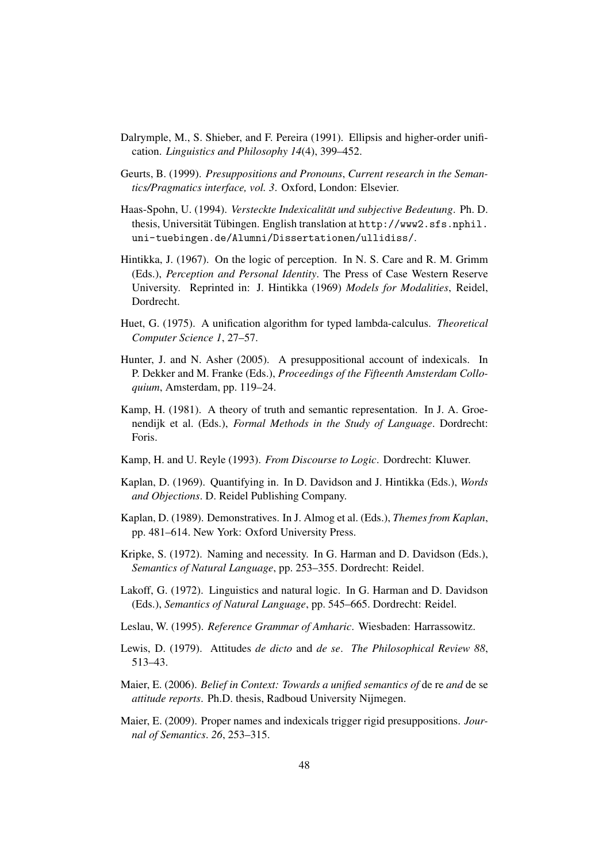- Dalrymple, M., S. Shieber, and F. Pereira (1991). Ellipsis and higher-order unification. *Linguistics and Philosophy 14*(4), 399–452.
- Geurts, B. (1999). *Presuppositions and Pronouns*, *Current research in the Semantics/Pragmatics interface, vol. 3*. Oxford, London: Elsevier.
- Haas-Spohn, U. (1994). *Versteckte Indexicalität und subjective Bedeutung*. Ph. D. thesis, Universität Tübingen. English translation at  $http://www2.sfs.nphil.$ uni-tuebingen.de/Alumni/Dissertationen/ullidiss/.
- Hintikka, J. (1967). On the logic of perception. In N. S. Care and R. M. Grimm (Eds.), *Perception and Personal Identity*. The Press of Case Western Reserve University. Reprinted in: J. Hintikka (1969) *Models for Modalities*, Reidel, Dordrecht.
- Huet, G. (1975). A unification algorithm for typed lambda-calculus. *Theoretical Computer Science 1*, 27–57.
- Hunter, J. and N. Asher (2005). A presuppositional account of indexicals. In P. Dekker and M. Franke (Eds.), *Proceedings of the Fifteenth Amsterdam Colloquium*, Amsterdam, pp. 119–24.
- Kamp, H. (1981). A theory of truth and semantic representation. In J. A. Groenendijk et al. (Eds.), *Formal Methods in the Study of Language*. Dordrecht: Foris.
- Kamp, H. and U. Reyle (1993). *From Discourse to Logic*. Dordrecht: Kluwer.
- Kaplan, D. (1969). Quantifying in. In D. Davidson and J. Hintikka (Eds.), *Words and Objections*. D. Reidel Publishing Company.
- Kaplan, D. (1989). Demonstratives. In J. Almog et al. (Eds.), *Themes from Kaplan*, pp. 481–614. New York: Oxford University Press.
- Kripke, S. (1972). Naming and necessity. In G. Harman and D. Davidson (Eds.), *Semantics of Natural Language*, pp. 253–355. Dordrecht: Reidel.
- Lakoff, G. (1972). Linguistics and natural logic. In G. Harman and D. Davidson (Eds.), *Semantics of Natural Language*, pp. 545–665. Dordrecht: Reidel.
- Leslau, W. (1995). *Reference Grammar of Amharic*. Wiesbaden: Harrassowitz.
- Lewis, D. (1979). Attitudes *de dicto* and *de se*. *The Philosophical Review 88*, 513–43.
- Maier, E. (2006). *Belief in Context: Towards a unified semantics of* de re *and* de se *attitude reports*. Ph.D. thesis, Radboud University Nijmegen.
- Maier, E. (2009). Proper names and indexicals trigger rigid presuppositions. *Journal of Semantics*. *26*, 253–315.